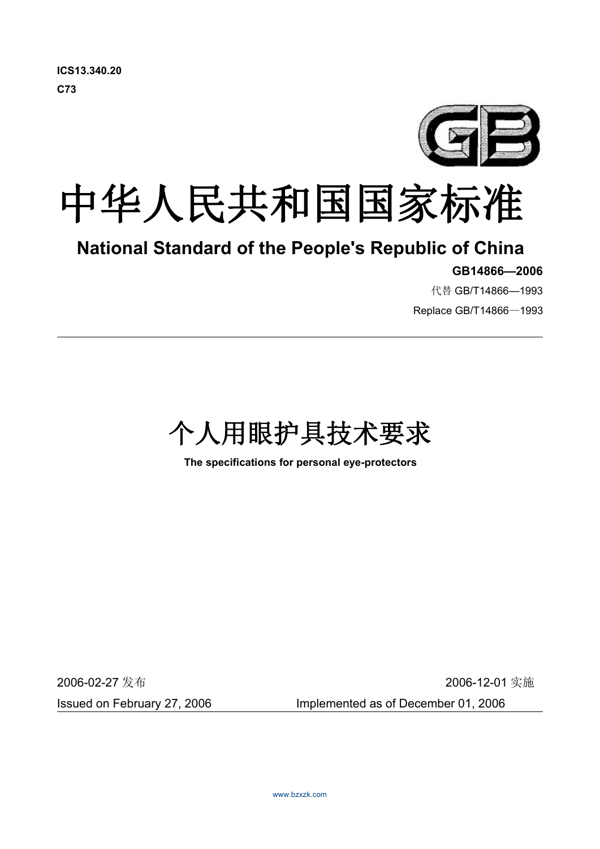**ICS13.340.20 C73**



中华人民共和国国家标准

# **National Standard of the People's Republic of China**

**GB14866—2006**

代替 GB/T14866—1993 Replace GB/T14866—1993



**The specifications for personal eye-protectors**

2006-02-27 发布 2006-12-01 实施 Issued on February 27, 2006 Implemented as of December 01, 2006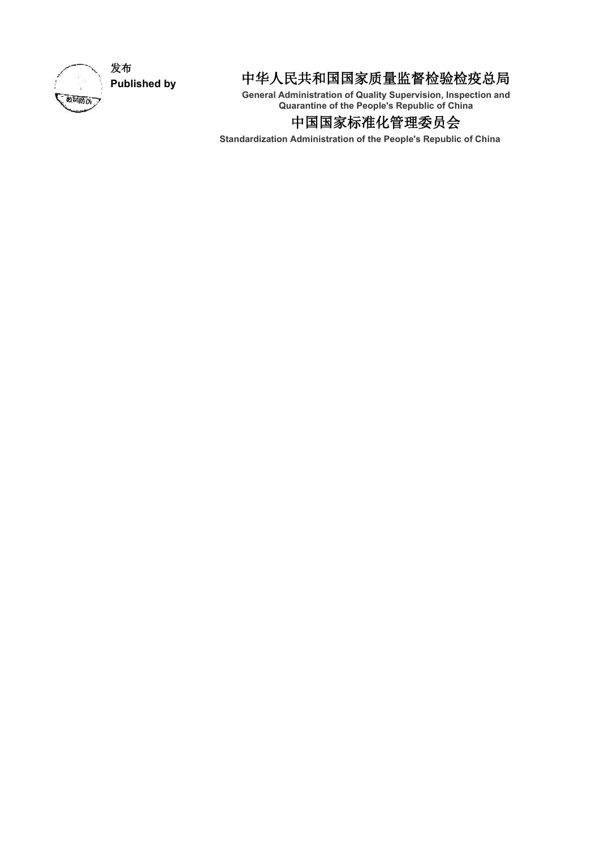

おおし ちょうしょう おおし おおし おおとこ ちょうかい ちょうかい おおし おおとこ おおとこ おおとこ しょうかい しょうしゃ しゅうしゃ しゅうしゃ しゅうしゃ しゅうしゃ しゅうしゃ

# $\widetilde{\mathcal{L}}$  is also postum 中华人民共和国国家质量监督检验检疫总局

**General Administration of Quality Supervision, Inspection and Quarantine of the People's Republic of China**

# 中国国家标准化管理委员会

**Standardization Administration of the People's Republic of China**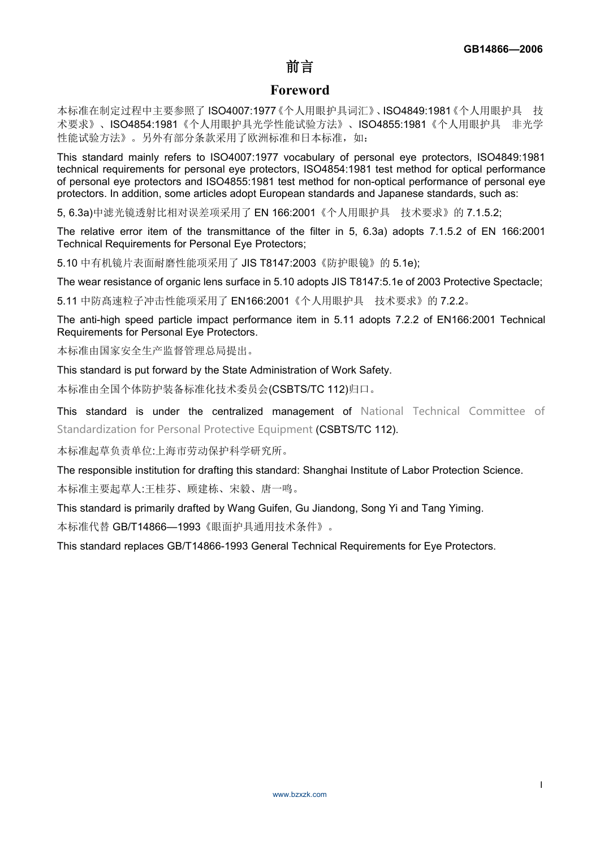# かいしゃ しょうしょう しんしょう しんしょう しんしゅう しんしゅう しゅうしょく しゅうしょく

# **Foreword**

本标准在制定过程中主要参照了 ISO4007:1977《个人用眼护具词汇》、ISO4849:1981《个人用眼护具 技 术要求》、ISO4854:1981《个人用眼护具光学性能试验方法》、ISO4855:1981《个人用眼护具 非光学 性能试验方法》。另外有部分条款采用了欧洲标准和日本标准,如:

This standard mainly refers to ISO4007:1977 vocabulary of personal eye protectors, ISO4849:1981 technical requirements for personal eye protectors, ISO4854:1981 test method for optical performance of personal eye protectors and ISO4855:1981 test method for non-optical performance of personal eye protectors. In addition, some articles adopt European standards and Japanese standards, such as:

5, 6.3a)中滤光镜透射比相对误差项采用了 EN 166:2001《个人用眼护具 技术要求》的 7.1.5.2;

The relative error item of the transmittance of the filter in 5, 6.3a) adopts 7.1.5.2 of EN 166:2001 Technical Requirements for Personal Eye Protectors;

5.10 中有机镜片表面耐磨性能项采用了 JIS T8147:2003《防护眼镜》的 5.1e);

The wear resistance of organic lens surface in 5.10 adopts JIS T8147:5.1e of 2003 Protective Spectacle;

5.11 中防髙速粒子冲击性能项采用了 EN166:2001《个人用眼护具 技术要求》的 7.2.2。

The anti-high speed particle impact performance item in 5.11 adopts 7.2.2 of EN166:2001 Technical Requirements for Personal Eye Protectors.

本标准由国家安全生产监督管理总局提出。

This standard is put forward by the State Administration of Work Safety.

本标准由全国个体防护装备标准化技术委员会(CSBTS/TC 112)归口。

This standard is under the centralized management of National Technical Committee of Standardization for Personal Protective Equipment (CSBTS/TC 112).

本标准起草负责单位:上海市劳动保护科学研究所。

The responsible institution for drafting this standard: Shanghai Institute of Labor Protection Science. 本标准主要起草人:王桂芬、顾建栋、宋毅、唐一鸣。

This standard is primarily drafted by Wang Guifen, Gu Jiandong, Song Yi and Tang Yiming.

本标准代替 GB/T14866—1993《眼面护具通用技术条件》。

This standard replaces GB/T14866-1993 General Technical Requirements for Eye Protectors.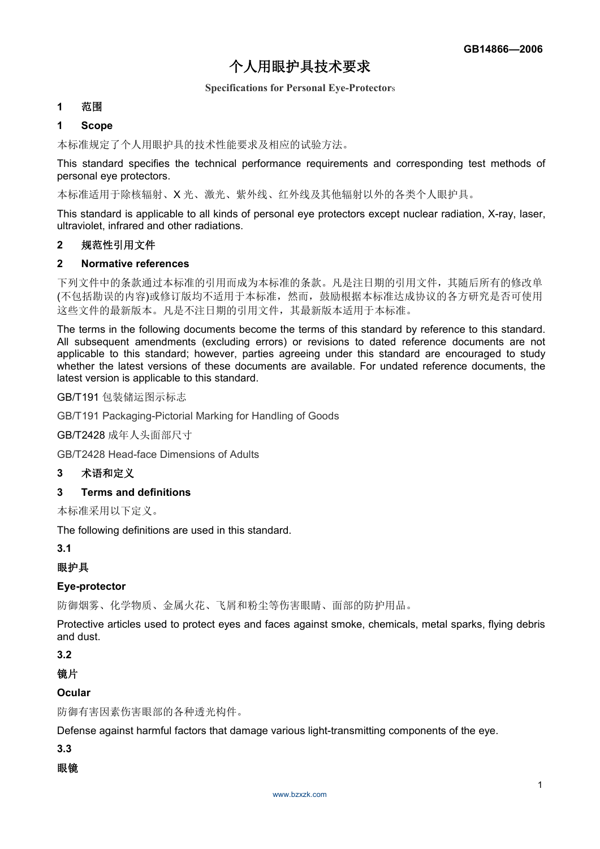# 个人用眼护具技术要求

**Specifications for Personal Eye-Protector**s

# **1** 范围

### **1 Scope**

本标准规定了个人用眼护具的技术性能要求及相应的试验方法。

This standard specifies the technical performance requirements and corresponding test methods of personal eye protectors.

本标准适用于除核辐射、X 光、激光、紫外线、红外线及其他辐射以外的各类个人眼护具。

This standard is applicable to all kinds of personal eye protectors except nuclear radiation, X-ray, laser, ultraviolet, infrared and other radiations.

### **2** 规范性引用文件

#### **2 Normative references**

下列文件中的条款通过本标准的引用而成为本标准的条款。凡是注日期的引用文件,其随后所有的修改单 (不包括勘误的内容)或修订版均不适用于本标准,然而,鼓励根据本标准达成协议的各方研究是否可使用 这些文件的最新版本。凡是不注日期的引用文件,其最新版本适用于本标准。

The terms in the following documents become the terms of this standard by reference to this standard. All subsequent amendments (excluding errors) or revisions to dated reference documents are not applicable to this standard; however, parties agreeing under this standard are encouraged to study whether the latest versions of these documents are available. For undated reference documents, the latest version is applicable to this standard.

GB/T191 包装储运图示标志

GB/T191 Packaging-Pictorial Marking for Handling of Goods

GB/T2428 成年人头面部尺寸

GB/T2428 Head-face Dimensions of Adults

#### **3** 术语和定义

#### **3 Terms and definitions**

本标准采用以下定义。

The following definitions are used in this standard.

**3.1**

### 眼护具

#### **Eye-protector**

防御烟雾、化学物质、金属火花、飞屑和粉尘等伤害眼睛、面部的防护用品。

Protective articles used to protect eyes and faces against smoke, chemicals, metal sparks, flying debris and dust.

#### **3.2**

#### うちの おおや おおや おおや しんしょう しんしょう しんしょう ちょうかい しんしゅう しょうしょく

## **Ocular**

防御有害因素伤害眼部的各种透光构件。

Defense against harmful factors that damage various light-transmitting components of the eye.

**3.3**

眼镜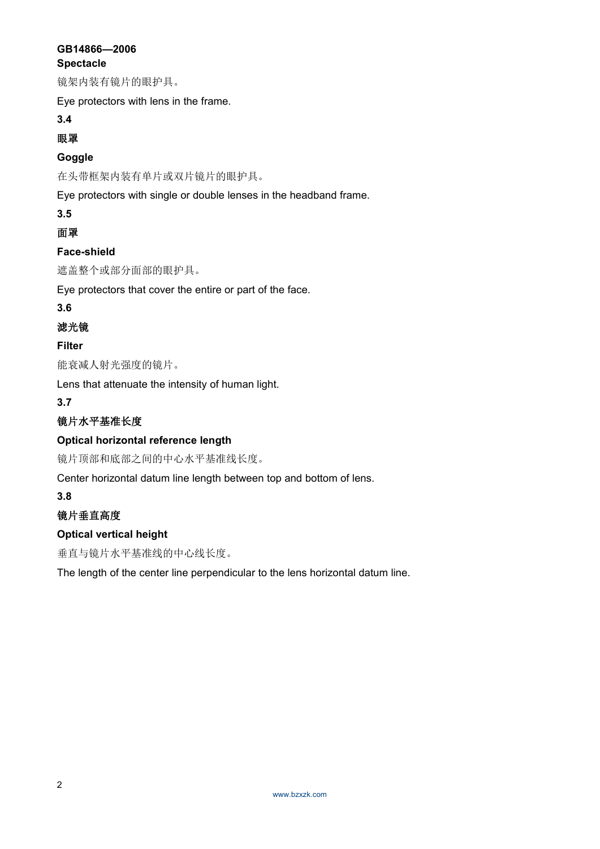# **Spectacle**

镜架内装有镜片的眼护具。

Eye protectors with lens in the frame.

# **3.4**

# **眼罩 しゅうしょう しょうしょう おおおお おおおお しょう**

# **Goggle**

在头带框架内装有单片或双片镜片的眼护具。

# Eye protectors with single or double lenses in the headband frame.

# **3.5**

面罩 しゅうしょう しゅうしょく しゅうしょく

# **Face-shield**

遮盖整个或部分面部的眼护具。

Eye protectors that cover the entire or part of the face.

# **3.6**

# 滤光镜

# **Filter**

能衰减人射光强度的镜片。

Lens that attenuate the intensity of human light.

# **3.7**

# 镜片水平基准长度

# **Optical horizontal reference length**

镜片顶部和底部之间的中心水平基准线长度。

Center horizontal datum line length between top and bottom of lens.

# **3.8**

# 镜片垂直高度

# **Optical vertical height**

垂直与镜片水平基准线的中心线长度。

The length of the center line perpendicular to the lens horizontal datum line.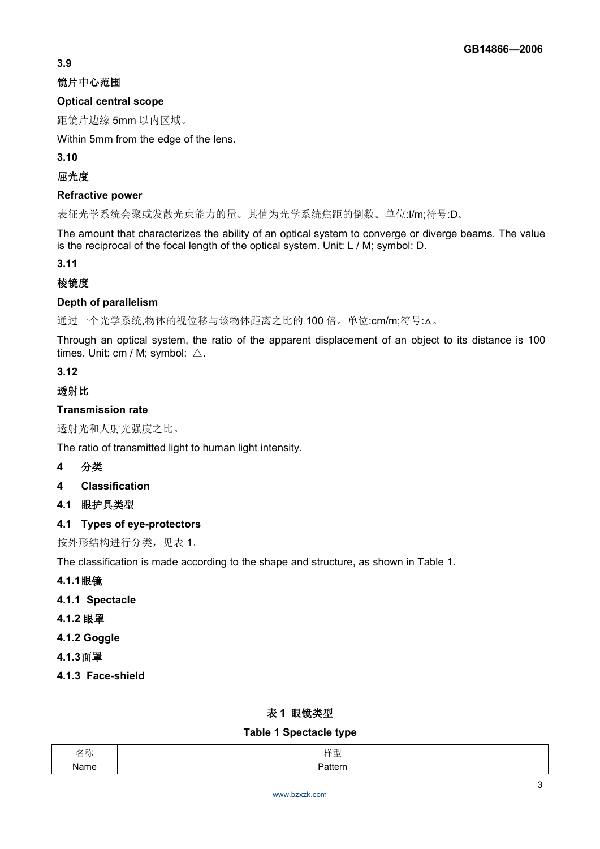# **3.9**

镜片中心范围

### **Optical central scope**

距镜片边缘 5mm 以内区域。

Within 5mm from the edge of the lens.

### **3.10**

屈光度

### **Refractive power**

表征光学系统会聚或发散光束能力的量。其值为光学系统焦距的倒数。单位:l/m;符号:D。

The amount that characterizes the ability of an optical system to converge or diverge beams. The value is the reciprocal of the focal length of the optical system. Unit: L / M; symbol: D.

**3.11**

# 棱镜度

### **Depth of parallelism**

通过一个光学系统,物体的视位移与该物体距离之比的 100 倍。单位:cm/m;符号:△。

Through an optical system, the ratio of the apparent displacement of an object to its distance is 100 times. Unit: cm / M; symbol:  $\triangle$ .

# **3.12**

### 透射比

### **Transmission rate**

透射光和人射光强度之比。

The ratio of transmitted light to human light intensity.

## **4** 分类

- **4 Classification**
- **4.1** 眼护具类型

### **4.1 Types of eye-protectors**

按外形结构进行分类,见表 1。

The classification is made according to the shape and structure, as shown in Table 1.

- **4.1.1**眼镜
- **4.1.1 Spectacle**
- **4.1.2** 眼罩
- **4.1.2 Goggle**
- **4.1.3**面罩
- **4.1.3 Face-shield**

### 表 **1** 眼镜类型

#### **Table 1 Spectacle type**

| 名称   |  |
|------|--|
| Name |  |

样型 Pattern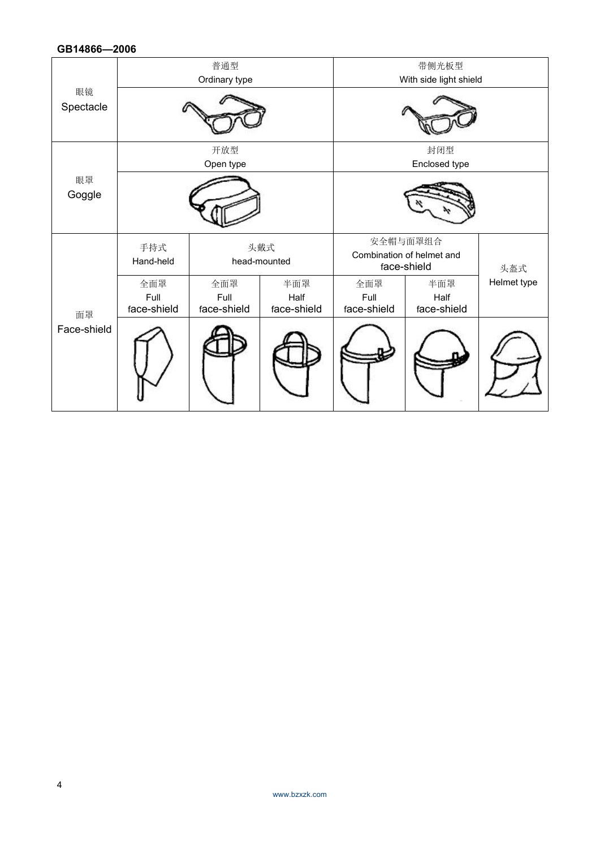|                 |                            | 普通型<br>Ordinary type       |                            | With side light shield     |                                                      |             |  |
|-----------------|----------------------------|----------------------------|----------------------------|----------------------------|------------------------------------------------------|-------------|--|
| 眼镜<br>Spectacle |                            |                            |                            |                            |                                                      |             |  |
|                 |                            | 开放型<br>Open type           |                            |                            |                                                      |             |  |
| 眼罩<br>Goggle    |                            |                            |                            |                            |                                                      |             |  |
|                 | 手持式<br>Hand-held           | head-mounted               | 头戴式                        |                            | 安全帽与面罩组合<br>Combination of helmet and<br>face-shield | 头盔式         |  |
| 面罩              | 全面罩<br>Full<br>face-shield | 全面罩<br>Full<br>face-shield | 半面罩<br>Half<br>face-shield | 全面罩<br>Full<br>face-shield | 半面罩<br>Half<br>face-shield                           | Helmet type |  |
| Face-shield     |                            |                            |                            |                            |                                                      |             |  |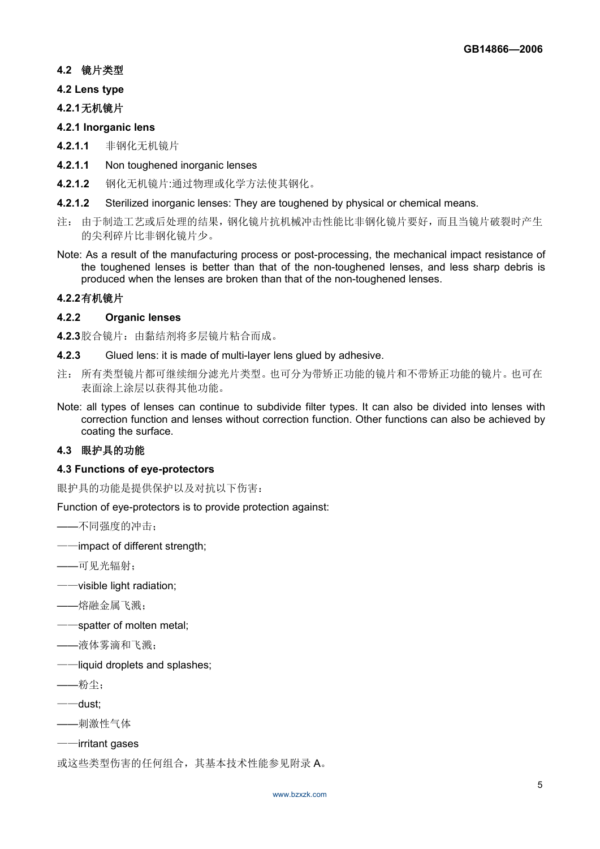### **4.2** 镜片类型

### **4.2 Lens type**

### **4.2.1**无机镜片

- **4.2.1 Inorganic lens**
- **4.2.1.1** 非钢化无机镜片
- **4.2.1.1** Non toughened inorganic lenses
- **4.2.1.2** 钢化无机镜片:通过物理或化学方法使其钢化。
- **4.2.1.2** Sterilized inorganic lenses: They are toughened by physical or chemical means.
- 注: 由于制造工艺或后处理的结果,钢化镜片抗机械冲击性能比非钢化镜片要好,而且当镜片破裂时产生 的尖利碎片比非钢化镜片少。
- Note: As a result of the manufacturing process or post-processing, the mechanical impact resistance of the toughened lenses is better than that of the non-toughened lenses, and less sharp debris is produced when the lenses are broken than that of the non-toughened lenses.

### **4.2.2**有机镜片

#### **4.2.2 Organic lenses**

**4.2.3**胶合镜片:由黏结剂将多层镜片粘合而成。

#### **4.2.3** Glued lens: it is made of multi-layer lens glued by adhesive.

- 注: 所有类型镜片都可继续细分滤光片类型。也可分为带矫正功能的镜片和不带矫正功能的镜片。也可在 表面涂上涂层以获得其他功能。
- Note: all types of lenses can continue to subdivide filter types. It can also be divided into lenses with correction function and lenses without correction function. Other functions can also be achieved by coating the surface.

#### **4.3** 眼护具的功能

#### **4.3 Functions of eye-protectors**

眼护具的功能是提供保护以及对抗以下伤害:

Function of eye-protectors is to provide protection against:

- ——不同强度的冲击;
- ——impact of different strength;

——可见光辐射;

- ——visible light radiation;
- ——熔融金属飞溅;
- ——spatter of molten metal:
- ——液体雾滴和飞溅;
- ——liquid droplets and splashes;
- ——粉尘;
- ——dust;
- ——刺激性气体
- ——irritant gases

或这些类型伤害的任何组合,其基本技术性能参见附录 A。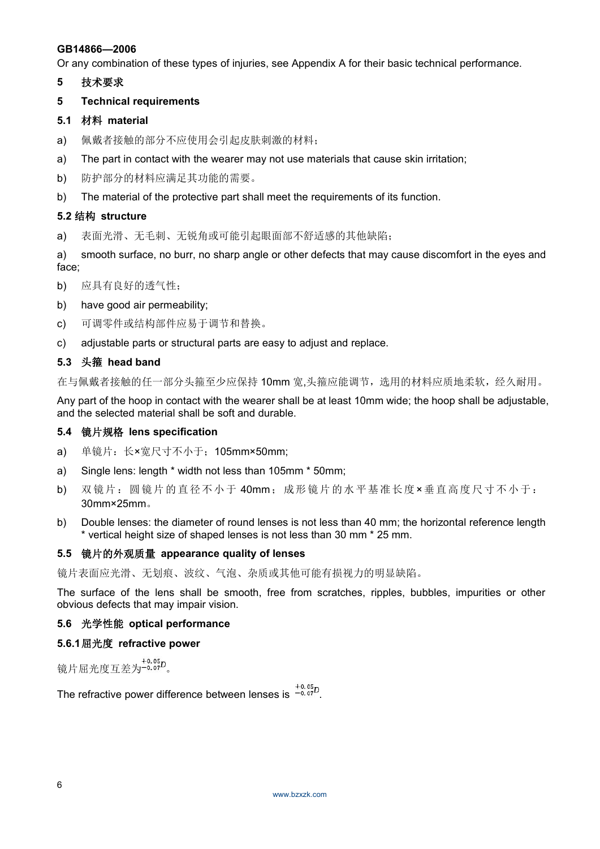Or any combination of these types of injuries, see Appendix A for their basic technical performance.

- **5** 技术要求
- **5 Technical requirements**

### **5.1** 材料 **material**

- a) 佩戴者接触的部分不应使用会引起皮肤刺激的材料;
- a) The part in contact with the wearer may not use materials that cause skin irritation;
- b) 防护部分的材料应满足其功能的需要。
- b) The material of the protective part shall meet the requirements of its function.

## **5.2** 结构 **structure**

a) 表面光滑、无毛刺、无锐角或可能引起眼面部不舒适感的其他缺陷;

a) smooth surface, no burr, no sharp angle or other defects that may cause discomfort in the eyes and face;

- b) 应具有良好的透气性;
- b) have good air permeability;
- c) 可调零件或结构部件应易于调节和替换。
- c) adjustable parts or structural parts are easy to adjust and replace.

### **5.3** 头箍 **head band**

在与佩戴者接触的任一部分头箍至少应保持 10mm 宽,头箍应能调节,选用的材料应质地柔软,经久耐用。

Any part of the hoop in contact with the wearer shall be at least 10mm wide; the hoop shall be adjustable, and the selected material shall be soft and durable.

#### **5.4** 镜片规格 **lens specification**

- a) 单镜片:长×宽尺寸不小于;105mm×50mm;
- a) Single lens: length \* width not less than 105mm \* 50mm;
- b) 双镜片:圆镜片的直径不小于 40mm;成形镜片的水平基准长度×垂直高度尺寸不小于: 30mm×25mm。
- b) Double lenses: the diameter ofround lenses is not less than 40 mm; the horizontal reference length \* vertical height size of shaped lenses is not less than 30 mm \* 25 mm.

#### **5.5** 镜片的外观质量 **appearance quality of lenses**

镜片表面应光滑、无划痕、波纹、气泡、杂质或其他可能有损视力的明显缺陷。

The surface of the lens shall be smooth, free from scratches, ripples, bubbles, impurities or other obvious defects that may impair vision.

#### **5.6** 光学性能 **optical performance**

#### **5.6.1**屈光度 **refractive power**

镜片屈光度互差为<sup>+0.05</sup><sup>D</sup>

The refractive power difference between lenses is  $\frac{+0.05}{-0.07}$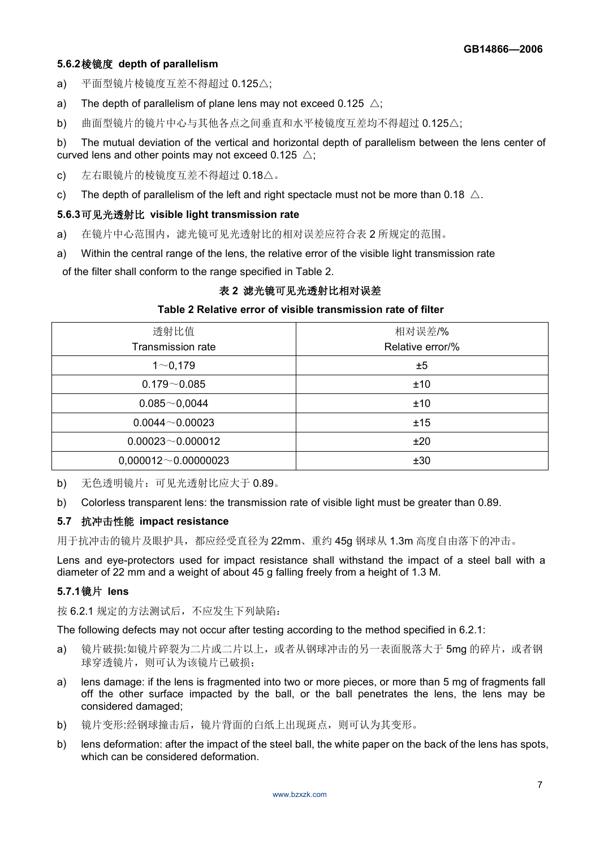#### **5.6.2**棱镜度 **depth of parallelism**

- a) 平面型镜片棱镜度互差不得超过 0.125△;
- a) The depth of parallelism of plane lens may not exceed 0.125  $\triangle$ ;
- b) 曲面型镜片的镜片中心与其他各点之间垂直和水平棱镜度互差均不得超过 0.125△;

b) The mutual deviation of the vertical and horizontal depth of parallelism between the lens center of curved lens and other points may not exceed 0.125  $\triangle$ :

- c) 左右眼镜片的棱镜度互差不得超过 0.18△。
- c) The depth of parallelism of the left and right spectacle must not be more than 0.18  $\triangle$ .

### **5.6.3**可见光透射比 **visible light transmission rate**

- a) 在镜片中心范围内,滤光镜可见光透射比的相对误差应符合表 2 所规定的范围。
- a) Within the central range of the lens, the relative error of the visible light transmission rate

of the filter shall conform to the range specified in Table 2.

### 表 **2** 滤光镜可见光透射比相对误差

#### **Table 2 Relative error of visible transmission rate of filter**

| 透射比值                     | 相对误差/%           |
|--------------------------|------------------|
| Transmission rate        | Relative error/% |
| $1 - 0,179$              | ±5               |
| $0.179 - 0.085$          | ±10              |
| $0.085 - 0,0044$         | ±10              |
| $0.0044\!\sim\!0.00023$  | ±15              |
| $0.00023\sim0.000012$    | ±20              |
| $0,000012\sim0.00000023$ | ±30              |
|                          |                  |

b) 无色透明镜片:可见光透射比应大于 0.89。

b) Colorless transparent lens: the transmission rate of visible light must be greater than 0.89.

#### **5.7** 抗冲击性能 **impact resistance**

用于抗冲击的镜片及眼护具,都应经受直径为 22mm、重约 45g 钢球从 1.3m 高度自由落下的冲击。

Lens and eye-protectors used for impact resistance shall withstand the impact of a steel ball with a diameter of 22 mm and a weight of about 45 g falling freely from a height of 1.3 M.

#### **5.7.1**镜片 **lens**

按 6.2.1 规定的方法测试后,不应发生下列缺陷:

The following defects may not occur after testing according to the method specified in 6.2.1:

- a) 镜片破损:如镜片碎裂为二片或二片以上,或者从钢球冲击的另一表面脱落大于 5mg 的碎片,或者钢 球穿透镜片,则可认为该镜片已破损;
- a) lens damage: if the lens is fragmented into two or more pieces, or more than 5 mg of fragments fall off the other surface impacted by the ball, or the ball penetrates the lens, the lens may be considered damaged;
- b) 镜片变形:经钢球撞击后,镜片背面的白纸上出现斑点,则可认为其变形。
- b) lens deformation: after the impact of the steel ball, the white paper on the back of the lens has spots, which can be considered deformation.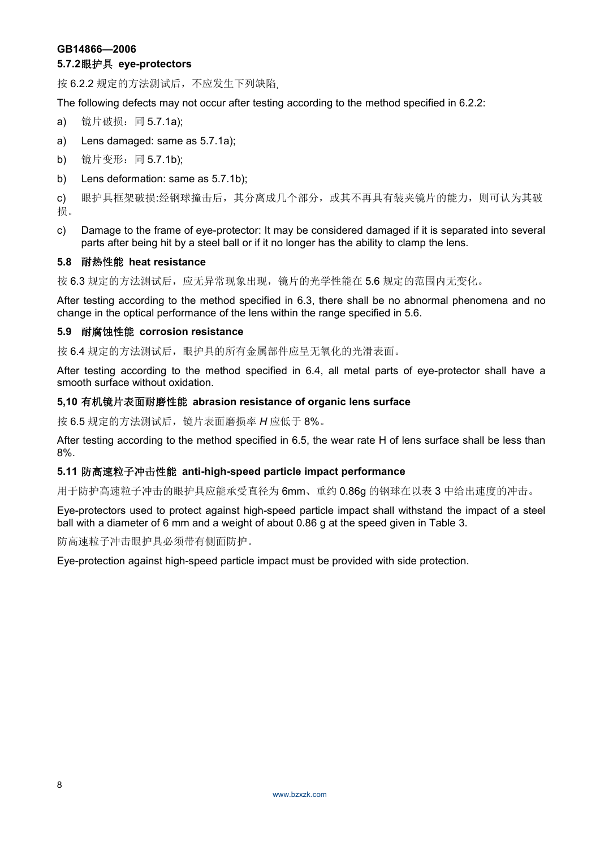#### **5.7.2**眼护具 **eye-protectors**

按 6.2.2 规定的方法测试后,不应发生下列缺陷:

The following defects may not occur after testing according to the method specified in 6.2.2:

- a) 镜片破损:同 5.7.1a);
- a) Lens damaged: same as 5.7.1a);
- b) 镜片变形:同 5.7.1b);
- b) Lens deformation: same as 5.7.1b);
- c) 眼护具框架破损:经钢球撞击后,其分离成几个部分, 或其不再具有装夹镜片的能力, 则可认为其破 损。
- c) Damage to the frame of eye-protector: It may be considered damaged if it is separated into several parts after being hit by a steel ball or if it no longer has the ability to clamp the lens.

#### **5.8** 耐热性能 **heat resistance**

按 6.3 规定的方法测试后,应无异常现象出现,镜片的光学性能在 5.6 规定的范围内无变化。

After testing according to the method specified in 6.3, there shall be no abnormal phenomena and no change in the optical performance of the lens within the range specified in 5.6.

#### **5.9** 耐腐蚀性能 **corrosion resistance**

按 6.4 规定的方法测试后,眼护具的所有金属部件应呈无氧化的光滑表面。

After testing according to the method specified in 6.4, all metal parts of eye-protector shall have a smooth surface without oxidation.

#### **5,10** 有机镜片表面耐磨性能 **abrasion resistance of organic lens surface**

按 6.5 规定的方法测试后,镜片表面磨损率 *H* 应低于 8%。

After testing according to the method specified in 6.5, the wear rate H of lens surface shall be less than 8%.

#### **5.11** 防高速粒子冲击性能 **anti-high-speed particle impact performance**

用于防护高速粒子冲击的眼护具应能承受直径为 6mm、重约 0.86g 的钢球在以表 3 中给出速度的冲击。

Eye-protectors used to protect against high-speed particle impact shall withstand the impact of a steel ball with a diameter of 6 mm and a weight of about 0.86 g at the speed given in Table 3.

防高速粒子冲击眼护具必须带有侧面防护。

Eye-protection against high-speed particle impact must be provided with side protection.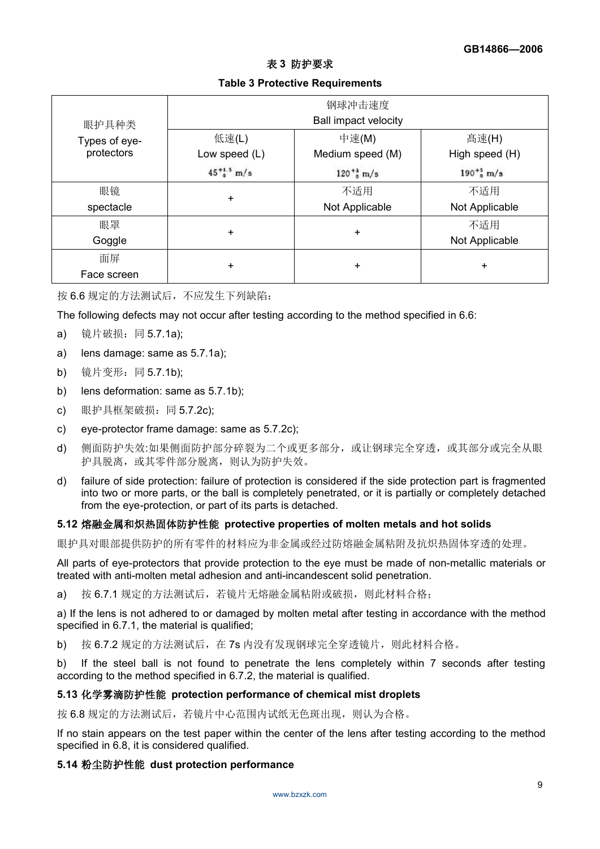#### 表 **3** 防护要求

#### **Table 3 Protective Requirements**

|               | 钢球冲击速度<br>Ball impact velocity |                     |                |  |  |  |  |
|---------------|--------------------------------|---------------------|----------------|--|--|--|--|
| 眼护具种类         |                                |                     |                |  |  |  |  |
| Types of eye- | 低速(L)                          | 中速(M)               | 高速(H)          |  |  |  |  |
| protectors    | Low speed (L)                  | Medium speed (M)    | High speed (H) |  |  |  |  |
|               | $45^{+1.5}$ m/s                | $120^{+3}_{-6}$ m/s | $190^{+5}$ m/s |  |  |  |  |
| 眼镜            | $\ddot{}$                      | 不适用                 | 不适用            |  |  |  |  |
| spectacle     |                                | Not Applicable      | Not Applicable |  |  |  |  |
| 眼罩            |                                |                     | 不适用            |  |  |  |  |
| Goggle        | $\ddot{}$                      | $\ddot{}$           | Not Applicable |  |  |  |  |
| 面屏            |                                | $\ddot{}$           |                |  |  |  |  |
| Face screen   | $\ddot{}$                      |                     | $\ddot{}$      |  |  |  |  |

按 6.6 规定的方法测试后,不应发生下列缺陷:

The following defects may not occur after testing according to the method specified in 6.6:

- a) 镜片破损:同 5.7.1a);
- a) lens damage: same as 5.7.1a);
- b) 镜片变形:同 5.7.1b);
- b) lens deformation: same as 5.7.1b);
- c) 眼护具框架破损:同 5.7.2c);
- c) eye-protector frame damage: same as 5.7.2c);
- d) 侧面防护失效:如果侧面防护部分碎裂为二个或更多部分,或让钢球完全穿透,或其部分或完全从眼 护具脱离,或其零件部分脱离,则认为防护失效。
- d) failure of side protection: failure of protection is considered if the side protection part is fragmented into two or more parts, or the ball is completely penetrated, or it is partially or completely detached from the eye-protection, or part of its parts is detached.

### **5.12** 熔融金属和炽热固体防护性能 **protective properties of molten metals and hot solids**

眼护具对眼部提供防护的所有零件的材料应为非金属或经过防熔融金属粘附及抗炽热固体穿透的处理。

All parts of eye-protectors that provide protection to the eye must be made of non-metallic materials or treated with anti-molten metal adhesion and anti-incandescent solid penetration.

a) 按 6.7.1 规定的方法测试后,若镜片无熔融金属粘附或破损,则此材料合格;

a) If the lens is not adhered to or damaged by molten metal after testing in accordance with the method specified in 6.7.1, the material is qualified;

b) 按 6.7.2 规定的方法测试后, 在 7s 内没有发现钢球完全穿透镜片, 则此材料合格。

b) If the steel ball is not found to penetrate the lens completely within 7 seconds after testing according to the method specified in 6.7.2, the material is qualified.

#### **5.13** 化学雾滴防护性能 **protection performance of chemical mist droplets**

按 6.8 规定的方法测试后,若镜片中心范围内试纸无色斑出现,则认为合格。

If no stain appears on the test paper within the center of the lens after testing according to the method specified in 6.8, it is considered qualified.

#### **5.14** 粉尘防护性能 **dust protection performance**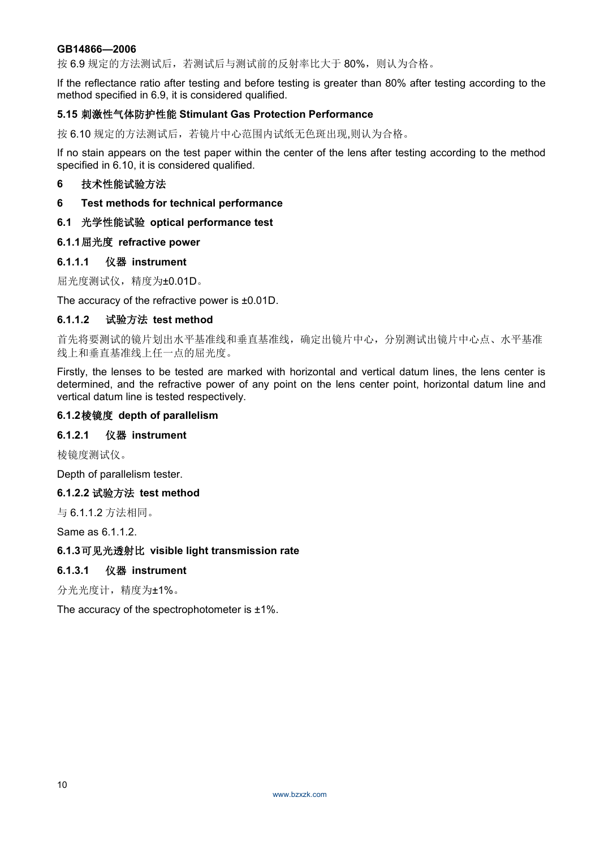按 6.9 规定的方法测试后,若测试后与测试前的反射率比大于 80%, 则认为合格。

If the reflectance ratio after testing and before testing is greater than 80% after testing according to the method specified in 6.9, it is considered qualified.

#### **5.15** 刺激性气体防护性能 **Stimulant Gas Protection Performance**

按 6.10 规定的方法测试后,若镜片中心范围内试纸无色斑出现,则认为合格。

If no stain appears on the test paper within the center of the lens after testing according to the method specified in 6.10, it is considered qualified.

#### **6** 技术性能试验方法

**6 Test methods for technical performance**

#### **6.1** 光学性能试验 **optical performance test**

#### **6.1.1**屈光度 **refractive power**

#### **6.1.1.1** 仪器 **instrument**

屈光度测试仪,精度为±0.01D。

The accuracy of the refractive power is ±0.01D.

#### **6.1.1.2** 试验方法 **test method**

首先将要测试的镜片划出水平基准线和垂直基准线,确定出镜片中心,分别测试出镜片中心点、水平基准 线上和垂直基准线上任一点的屈光度。

Firstly, the lenses to be tested are marked with horizontal and vertical datum lines, the lens centeris determined, and the refractive power of any point on the lens center point, horizontal datum line and vertical datum line is tested respectively.

#### **6.1.2**棱镜度 **depth of parallelism**

#### **6.1.2.1** 仪器 **instrument**

棱镜度测试仪。

Depth of parallelism tester.

### **6.1.2.2** 试验方法 **test method**

与 6.1.1.2 方法相同。

Same as 6.1.1.2.

#### **6.1.3**可见光透射比 **visible light transmission rate**

#### **6.1.3.1** 仪器 **instrument**

分光光度计,精度为±1%。

The accuracy of the spectrophotometer is ±1%.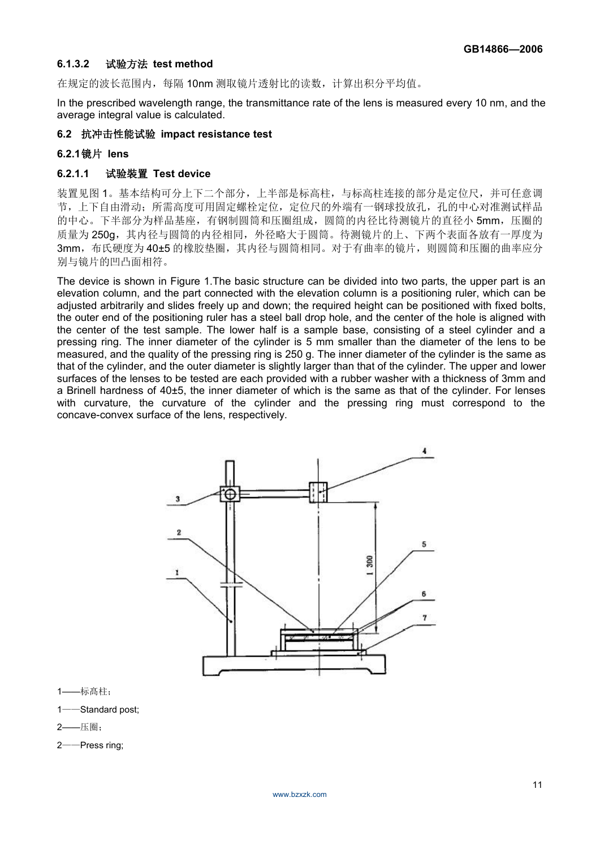### **6.1.3.2** 试验方法 **test method**

在规定的波长范围内,每隔 10nm 测取镜片透射比的读数, 计算出积分平均值。

In the prescribed wavelength range, the transmittance rate of the lens is measured every 10 nm, and the average integral value is calculated.

#### **6.2** 抗冲击性能试验 **impact resistance test**

#### **6.2.1**镜片 **lens**

#### **6.2.1.1** 试验裝置 **Test device**

装置见图 1。基本结构可分上下二个部分,上半部是标高柱,与标高柱连接的部分是定位尺,并可任意调 节,上下自由滑动;所需高度可用固定螺栓定位,定位尺的外端有一钢球投放孔,孔的中心对准测试样品 的中心。下半部分为样品基座,有钢制圆筒和压圈组成,圆筒的内径比待测镜片的直径小 5mm,压圈的 质量为 250g,其内径与圆筒的内径相同,外径略大于圆筒。待测镜片的上、下两个表面各放有一厚度为 3mm, 布氏硬度为 40±5 的橡胶垫圈, 其内径与圆筒相同。对于有曲率的镜片, 则圆筒和压圈的曲率应分 别与镜片的凹凸面相符。

The device is shown in Figure 1.The basic structure can be divided into two parts, the upper part is an elevation column, and the part connected with the elevation column is a positioning ruler, which can be adjusted arbitrarily and slides freely up and down; the required height can be positioned with fixed bolts, the outer end of the positioning ruler has a steel ball drop hole, and the center of the hole is aligned with the center of the test sample. The lower half is a sample base, consisting of a steel cylinder and a pressing ring. The inner diameter of the cylinder is 5 mm smaller than the diameter of the lens to be measured, and the quality of the pressing ring is 250 g. The inner diameter of the cylinder is the same as that of the cylinder, and the outer diameter is slightly larger than that of the cylinder. The upper and lower surfaces of the lenses to be tested are each provided with a rubber washer with a thickness of 3mm and a Brinell hardness of 40±5, the inner diameter of which is the same as that of the cylinder. For lenses with curvature, the curvature of the cylinder and the pressing ring must correspond to the concave-convex surface of the lens, respectively.



1——标髙柱;

1——Standard post;

2——压圈;

2——Press ring;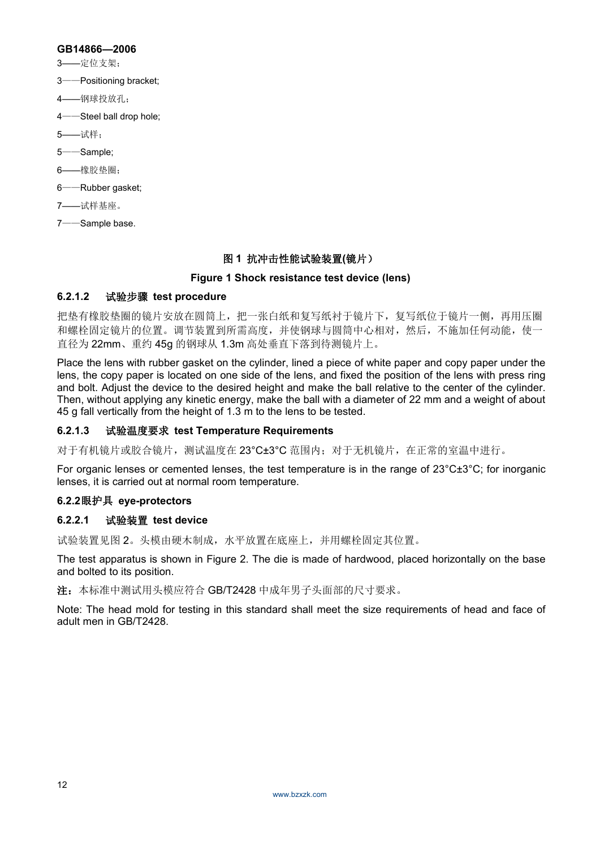- 3——定位支架;
- 3——Positioning bracket;
- 4——钢球投放孔;
- 4——Steel ball drop hole;
- 5——试样;
- 5——Sample;
- 6——橡胶垫圈;
- 6——Rubber gasket;
- 7——试样基座。
- 7——Sample base.

# 图 **1** 抗冲击性能试验装置**(**镜片)

### **Figure 1 Shock resistance test device (lens)**

### **6.2.1.2** 试验步骤 **test procedure**

把垫有橡胶垫圈的镜片安放在圆筒上,把一张白纸和复写纸衬于镜片下,复写纸位于镜片一侧,再用压圈 和螺栓固定镜片的位置。调节装置到所需高度,并使钢球与圆筒中心相对,然后,不施加任何动能,使一 直径为 22mm、重约 45g 的钢球从 1.3m 高处垂直下落到待测镜片上。

Place the lens with rubber gasket on the cylinder, lined a piece of white paper and copy paper under the lens, the copy paper is located on one side of the lens, and fixed the position of the lens with press ring and bolt. Adjust the device to the desired height and make the ball relative to the center of the cylinder. Then, without applying any kinetic energy, make the ball with a diameter of 22 mm and a weight of about 45 g fall vertically from the height of 1.3 m to the lens to be tested.

### **6.2.1.3** 试验温度要求 **test Temperature Requirements**

对于有机镜片或胶合镜片,测试温度在 23°C±3°C 范围内;对于无机镜片, 在正常的室温中进行。

For organic lenses or cemented lenses, the test temperature is in the range of 23°C±3°C; for inorganic lenses, it is carried out at normal room temperature.

#### **6.2.2**眼护具 **eye-protectors**

#### **6.2.2.1** 试验装置 **test device**

试验装置见图 2。头模由硬木制成,水平放置在底座上,并用螺栓固定其位置。

The test apparatus is shown in Figure 2. The die is made of hardwood, placed horizontally on the base and bolted to its position.

注:本标准中测试用头模应符合 GB/T2428 中成年男子头面部的尺寸要求。

Note: The head mold for testing in this standard shall meet the size requirements of head and face of adult men in GB/T2428.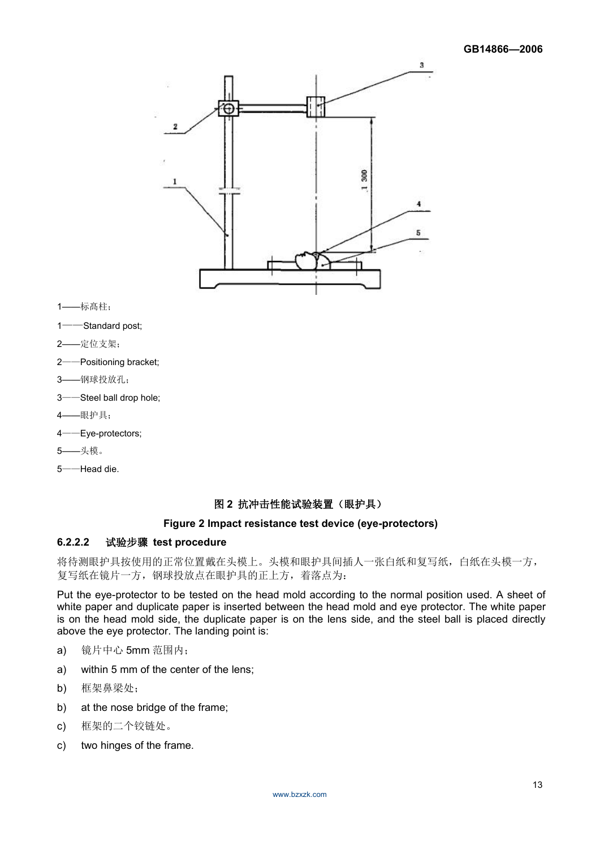

1——标髙柱;

- 1——Standard post;
- 2——定位支架;
- 2——Positioning bracket;
- 3——钢球投放孔;
- 3——Steel ball drop hole;
- 4——眼护具;
- 4——Eye-protectors;
- 5——头模。
- 5——Head die.

### 图 **2** 抗冲击性能试验装置(眼护具)

#### **Figure 2 Impact resistance test device (eye-protectors)**

#### **6.2.2.2** 试验步骤 **test procedure**

将待测眼护具按使用的正常位置戴在头模上。头模和眼护具间插人一张白纸和复写纸,白纸在头模一方, 复写纸在镜片一方,钢球投放点在眼护具的正上方,着落点为:

Put the eye-protector to be tested on the head mold according to the normal position used. A sheet of white paper and duplicate paper is inserted between the head mold and eye protector. The white paper is on the head mold side, the duplicate paper is on the lens side, and the steel ball is placed directly above the eye protector. The landing point is:

- a) 镜片中心 5mm 范围内;
- a) within 5 mm of the center of the lens;
- b) 框架鼻梁处;
- b) at the nose bridge of the frame;
- c) 框架的二个铰链处。
- c) two hinges of the frame.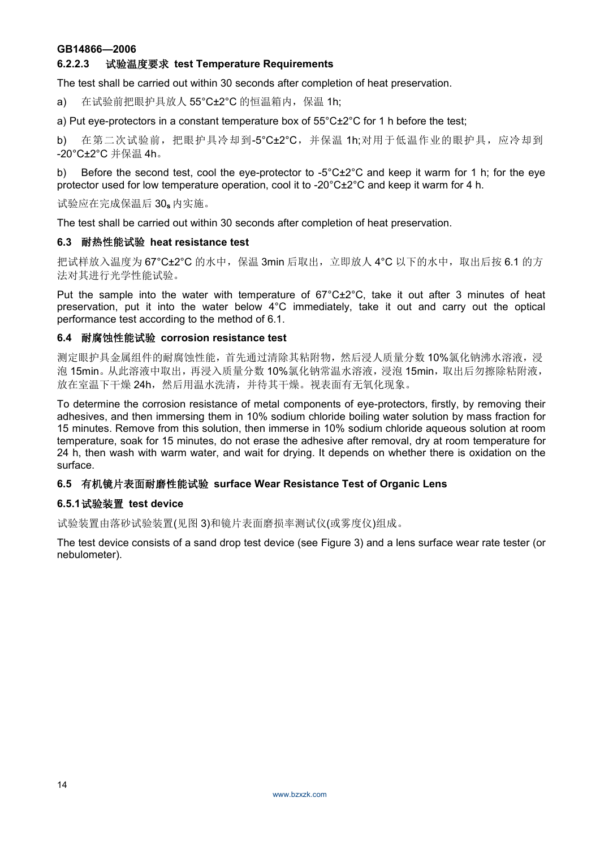#### **6.2.2.3** 试验温度要求 **test Temperature Requirements**

The test shall be carried out within 30 seconds after completion of heat preservation.

a) 在试验前把眼护具放人 55°C±2°C 的恒温箱内,保温 1h;

a) Put eye-protectors in a constant temperature box of 55°C±2°C for 1 hbefore the test;

b) 在第二次试验前,把眼护具冷却到-5°C±2°C,并保温 1h;对用于低温作业的眼护具,应冷却到 -20°C±2°C 并保温 4h。

b) Before the second test, cool the eye-protector to -5 $\degree$ C $\pm$ 2 $\degree$ C and keep it warm for 1 h; for the eye protector used for low temperature operation, cool it to -20°C±2°C and keep it warm for 4 h.

试验应在完成保温后 30**s**内实施。

The test shall be carried out within 30 seconds after completion of heat preservation.

#### **6.3** 耐热性能试验 **heat resistance test**

把试样放入温度为 67°C±2°C 的水中, 保温 3min 后取出, 立即放人 4°C 以下的水中, 取出后按 6.1 的方 法对其进行光学性能试验。

Put the sample into the water with temperature of  $67^{\circ}$ C $\pm$ 2 $^{\circ}$ C, take it out after 3 minutes of heat preservation, put it into the water below 4°C immediately, take it out and carry out the optical performance test according to the method of 6.1.

### **6.4** 耐腐蚀性能试验 **corrosion resistance test**

测定眼护具金属组件的耐腐蚀性能,首先通过清除其粘附物,然后浸人质量分数 10%氯化钠沸水溶液,浸 泡 15min。从此溶液中取出,再浸入质量分数 10%氯化钠常温水溶液,浸泡 15min,取出后勿擦除粘附液, 放在室温下干燥 24h, 然后用温水洗清, 并待其干燥。视表面有无氧化现象。

To determine the corrosion resistance of metal components of eye-protectors, firstly, by removing their adhesives, and then immersing them in 10% sodium chloride boiling water solution by mass fraction for 15 minutes. Remove from this solution, then immerse in 10% sodium chloride aqueous solution at room temperature, soak for 15 minutes, do not erase the adhesive after removal, dry at room temperature for 24 h, then wash with warm water, and wait for drying. It depends on whether there is oxidation on the surface.

#### **6.5** 有机镜片表面耐磨性能试验 **surface Wear Resistance Test of Organic Lens**

#### **6.5.1**试验装置 **test device**

试验装置由落砂试验装置(见图 3)和镜片表面磨损率测试仪(或雾度仪)组成。

The test device consists of a sand drop test device (see Figure 3) and a lens surface wear rate tester (or nebulometer).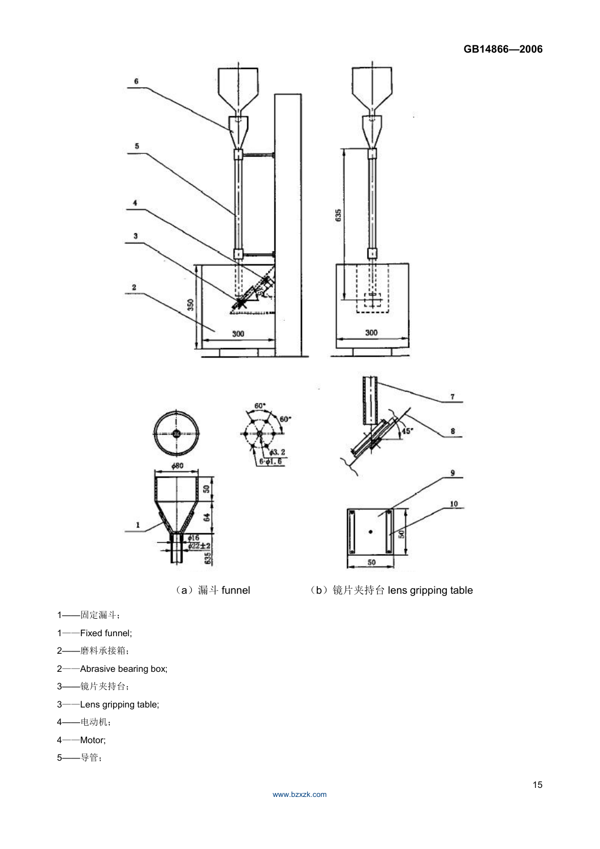

- 1——固定漏斗;
- 1——Fixed funnel;
- 2——磨料承接箱;
- 2——Abrasive bearing box;
- 3——镜片夹持台;
- 3——Lens gripping table;
- 4——电动机;
- 4——Motor;
- 5——导管;

(a) 漏斗 funnel (b) 镜片夹持台 lens gripping table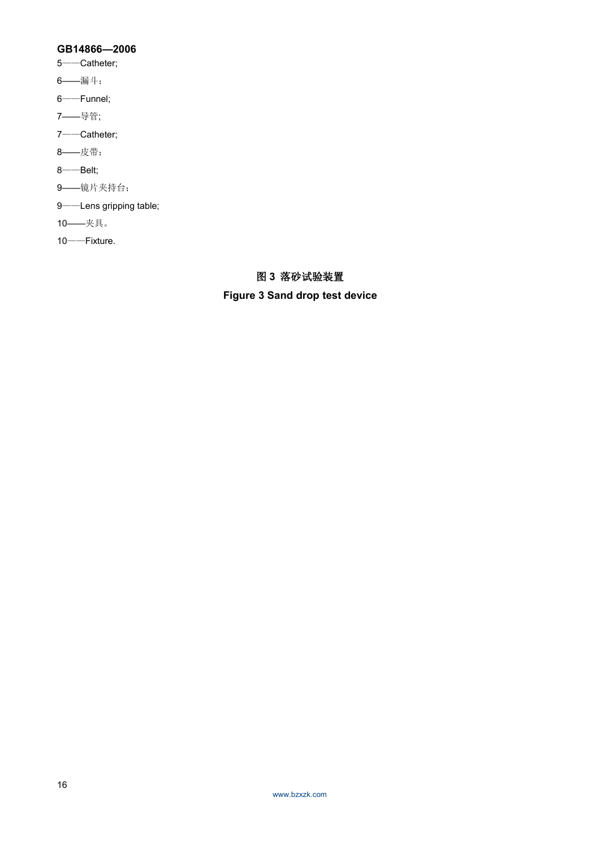- 5——Catheter;
- 6——漏斗;
- 6——Funnel;
- 7——导管;
- 7——Catheter;
- 8——皮带;
- 8——Belt;
- 9——镜片夹持台;
- 9——Lens gripping table;
- 10——夹具。
- 10——Fixture.

# 图 **3** 落砂试验装置

**Figure 3 Sand drop test device**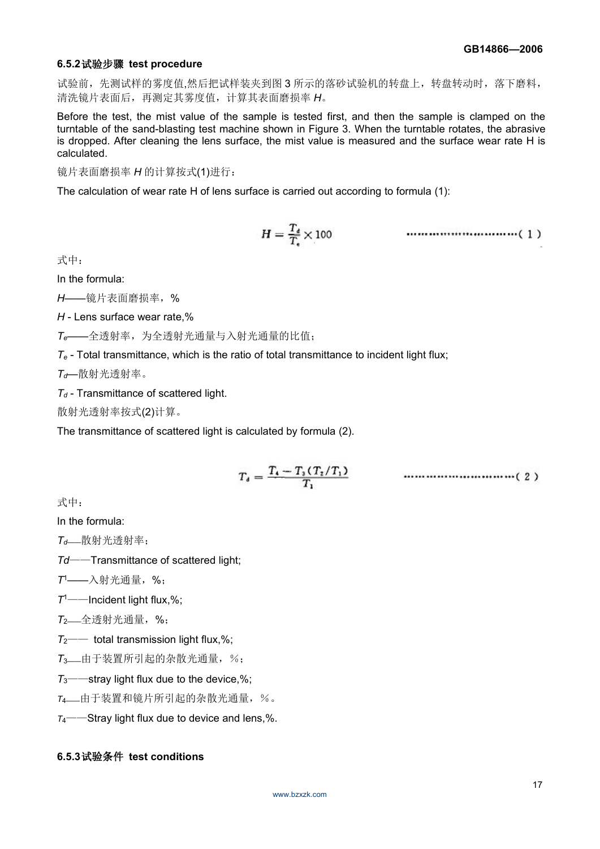#### **6.5.2**试验步骤 **test procedure**

试验前,先测试样的雾度值,然后把试样装夹到图 3 所示的落砂试验机的转盘上,转盘转动时, 落下磨料, 清洗镜片表面后,再测定其雾度值,计算其表面磨损率 *H*。

Before the test, the mist value of the sample is tested first, and then the sample is clamped on the turntable of the sand-blasting test machine shown in Figure 3. When the turntable rotates, the abrasive is dropped. After cleaning the lens surface, the mist value is measured and the surface wear rate H is calculated.

镜片表面磨损率 *H* 的计算按式(1)进行:

The calculation of wear rate H of lens surface is carried out according to formula (1):

式中: カラン アンチャン アンチャン こうしょう こうしょう こうしょう

In the formula:

*H——*镜片表面磨损率,%

*H* - Lens surface wear rate,%

*Te*——全透射率,为全透射光通量与入射光通量的比值;

 $T_e$  - Total transmittance, which is the ratio of total transmittance to incident light flux;

*Td*—散射光透射率。

 $T_d$  - Transmittance of scattered light.

散射光透射率按式(2)计算。

The transmittance of scattered light is calculated by formula (2).

式中: カラン アンチャン アンチャン こうしょう こうしょう こうしょう

In the formula:

*Td——*散射光透射率;

*Td*——Transmittance of scattered light;

*T* <sup>1</sup>——入射光通量,%;

*T* <sup>1</sup>——Incident light flux,%;

*T*2——全透射光通量,%;

 $T_2$ —— total transmission light flux, %;

*T*3——由于装置所引起的杂散光通量,%;

 $T_3$ ——stray light flux due to the device, %;

*T*4——由于装置和镜片所引起的杂散光通量,%。

*T*4——Stray light flux due to device and lens,%.

#### **6.5.3**试验条件 **test conditions**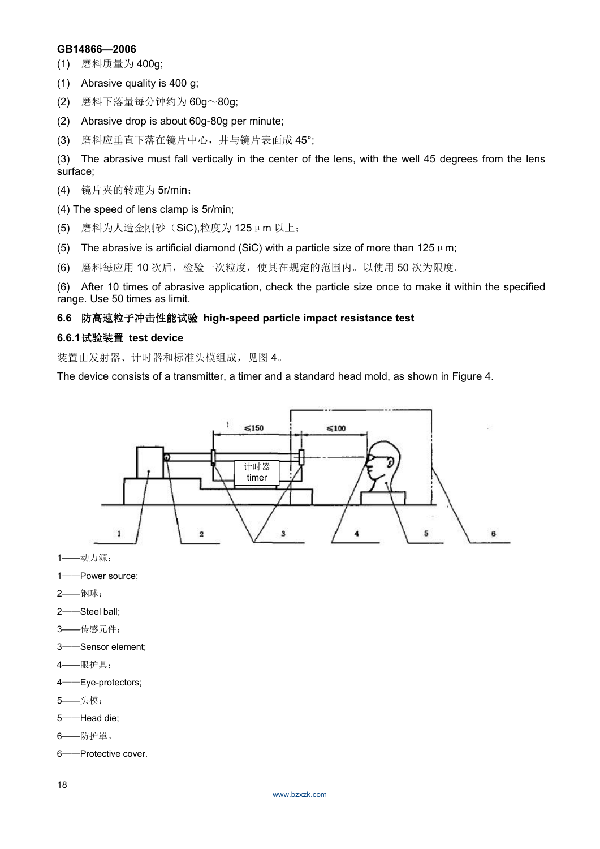- (1) 磨料质量为 400g;
- (1) Abrasive quality is 400 g;
- (2) 磨料下落量每分钟约为 60g~80g;
- (2) Abrasive drop is about 60g-80g per minute;
- (3) 磨料应垂直下落在镜片中心,井与镜片表面成 45°;

(3) The abrasive must fall vertically in the center of the lens, with the well 45 degrees from the lens surface;

- (4) 镜片夹的转速为 5r/min;
- (4) The speed of lens clamp is 5r/min;
- (5) 磨料为人造金刚砂(SiC),粒度为 125μm 以上;
- (5) The abrasive is artificial diamond (SiC) with a particle size of more than 125  $\mu$  m;
- (6) 磨料每应用 10 次后,检验一次粒度,使其在规定的范围内。以使用 50 次为限度。

(6) After 10 times of abrasive application, check the particle size once to make it within the specified range. Use 50 times as limit.

#### **6.6** 防高速粒子冲击性能试验 **high-speed particle impact resistance test**

### **6.6.1**试验装置 **test device**

装置由发射器、计时器和标准头模组成,见图 4。

The device consists of a transmitter, a timer and a standard head mold, as shown in Figure 4.

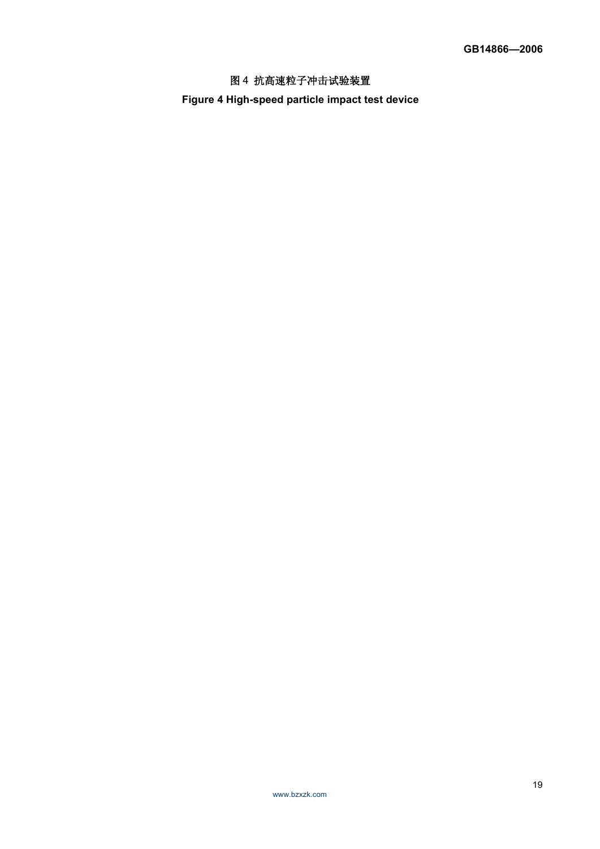# 图 4 抗高速粒子冲击试验装置

**Figure 4 High-speed particle impact test device**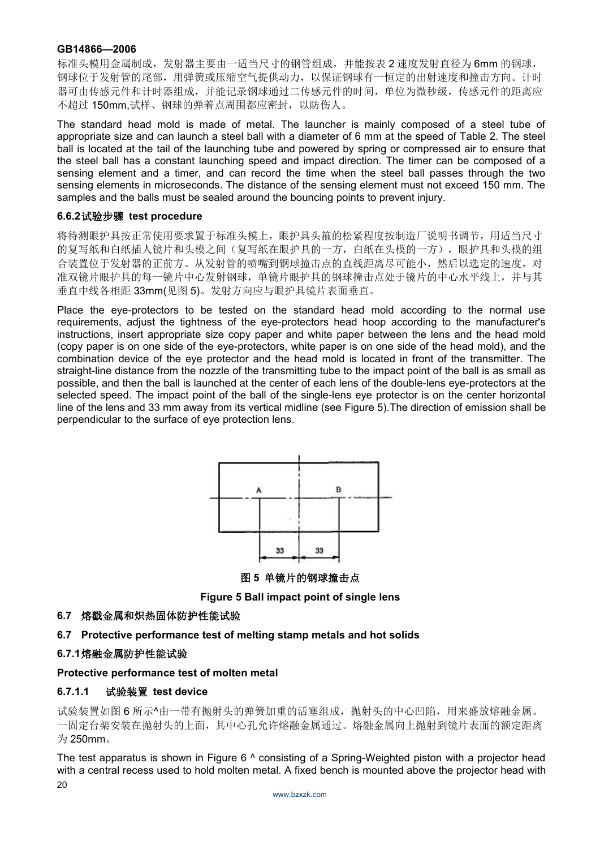标准头模用金属制成,发射器主要由一适当尺寸的钢管组成,并能按表 2 速度发射直径为 6mm 的钢球, 钢球位于发射管的尾部,用弹簧或压缩空气提供动力,以保证钢球有一恒定的出射速度和撞击方向。计时 器可由传感元件和计时器组成,并能记录钢球通过二传感元件的时间,单位为微秒级,传感元件的距离应 不超过 150mm,试样、钢球的弹着点周围都应密封,以防伤人。

The standard head mold is made of metal. The launcher is mainly composed of a steel tube of appropriate size and can launch a steel ball with a diameterof 6 mm at the speed of Table 2. The steel ball is located at the tail of the launching tube and powered by spring or compressed air to ensure that the steel ball has a constant launching speed and impact direction. The timer can be composed of a sensing element and a timer, and can record the time when the steel ball passes through the two sensing elements in microseconds. The distance of the sensing element must not exceed 150 mm. The samples and the balls must be sealed around the bouncing points to prevent injury.

### **6.6.2**试验步骤 **test procedure**

将待测眼护具按正常使用要求置于标准头模上,眼护具头箍的松紧程度按制造厂说明书调节,用适当尺寸 的复写纸和白纸插人镜片和头模之间(复写纸在眼护具的一方,白纸在头模的一方),眼护具和头模的组 合装置位于发射器的正前方。从发射管的喷嘴到钢球撞击点的直线距离尽可能小,然后以选定的速度,对 准双镜片眼护具的每一镜片中心发射钢球,单镜片眼护具的钢球撞击点处于镜片的中心水平线上,并与其 垂直中线各相距 33mm(见图 5)。发射方向应与眼护具镜片表面垂直。

Place the eye-protectors to be tested on the standard head mold according to the normal use requirements, adjust the tightness of the eye-protectors head hoop according to the manufacturer's instructions, insert appropriate size copy paper and white paper between the lens and the head mold (copy paper is on one side of the eye-protectors, white paper is on one side of the head mold), and the combination device of the eye protector and the head mold is located in front of the transmitter. The straight-line distance from the nozzle of the transmitting tube to the impact point of the ball is as small as possible, and then the ball is launched at the center of each lens of the double-lens eye-protectors at the selected speed. The impact point of the ball of the single-lens eye protector is on the center horizontal line of the lens and 33 mm away from its vertical midline (see Figure 5).The direction of emission shall be perpendicular to the surface of eye protection lens.

![](_page_23_Figure_6.jpeg)

#### 图 **5** 单镜片的钢球撞击点

**Figure 5 Ball impact point of single lens**

#### **6.7** 熔戳金属和炽热固体防护性能试验

**6.7 Protective performance test of melting stamp metals and hot solids**

#### **6.7.1**熔融金属防护性能试验

#### **Protective performance test of molten metal**

#### **6.7.1.1** 试验装置 **test device**

试验装置如图 6 所示^由一带有抛射头的弹簧加重的活塞组成, 抛射头的中心凹陷, 用来盛放熔融金属。 一固定台架安装在抛射头的上面,其中心孔允许熔融金属通过。熔融金属向上抛射到镜片表面的额定距离 为 250mm。

20 The test apparatus is shown in Figure 6  $\land$  consisting of a Spring-Weighted piston with a projector head with a central recess used to hold molten metal. A fixed bench is mounted above the projector head with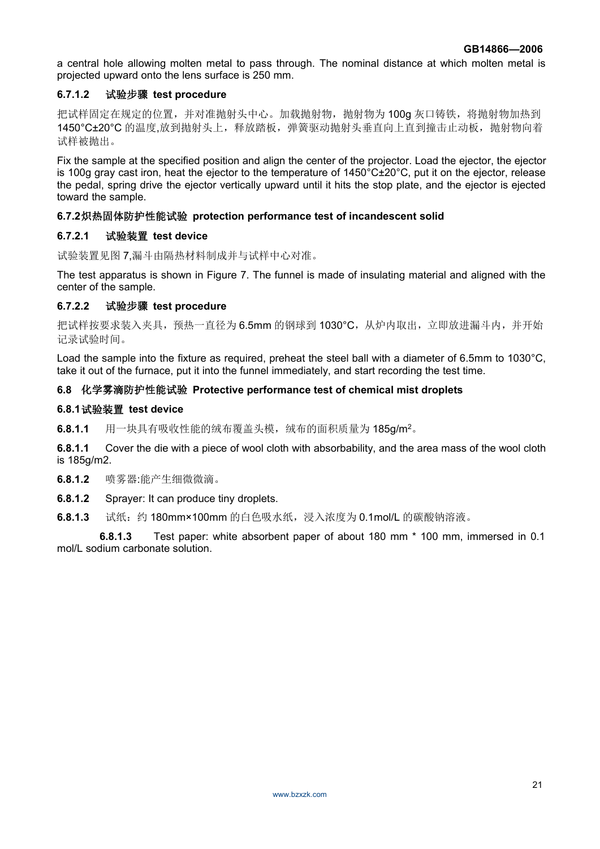a central hole allowing molten metal to pass through. The nominal distance at which molten metal is projected upward onto the lens surface is 250 mm.

#### **6.7.1.2** 试验步骤 **test procedure**

把试样固定在规定的位置,并对准抛射头中心。加载抛射物,抛射物为100g 灰口铸铁,将抛射物加热到 1450°C±20°C 的温度,放到抛射头上,释放踏板,弹簧驱动抛射头垂直向上直到撞击止动板,抛射物向着 试样被抛出。

Fix the sample at the specified position and align the center of the projector. Load the ejector, the ejector is 100g gray cast iron, heat the ejector to the temperature of  $1450^{\circ}$ C $\pm$ 20°C, put it on the ejector, release the pedal, spring drive the ejector vertically upward until it hits the stop plate, and the ejector is ejected toward the sample.

#### **6.7.2**炽热固体防护性能试验 **protection performance test of incandescent solid**

#### **6.7.2.1** 试验装置 **test device**

试验装置见图 7,漏斗由隔热材料制成并与试样中心对准。

The test apparatus is shown in Figure 7. The funnel is made of insulating material and aligned with the center of the sample.

#### **6.7.2.2** 试验步骤 **test procedure**

把试样按要求装入夹具,预热一直径为 6.5mm 的钢球到 1030°C,从炉内取出,立即放进漏斗内,并开始 记录试验时间。

Load the sample into the fixture as required, preheat the steel ball with a diameter of 6.5mm to 1030°C, take it out of the furnace, put it into the funnel immediately, and start recording the test time.

### **6.8** 化学雾滴防护性能试验 **Protective performance test of chemical mist droplets**

#### **6.8.1**试验装置 **test device**

**6.8.1.1** 用一块具有吸收性能的绒布覆盖头模,绒布的面积质量为 185g/m<sup>2</sup>。

**6.8.1.1** Cover the die with a piece of wool cloth with absorbability, and the area mass of the wool cloth is 185g/m2.

**6.8.1.2** 喷雾器:能产生细微微滴。

**6.8.1.2** Sprayer: It can produce tiny droplets.

**6.8.1.3** 试纸:约 180mm×100mm 的白色吸水纸,浸入浓度为 0.1mol/L 的碳酸钠溶液。

**6.8.1.3** Test paper: white absorbent paper of about 180 mm \* 100 mm, immersed in 0.1 mol/L sodium carbonate solution.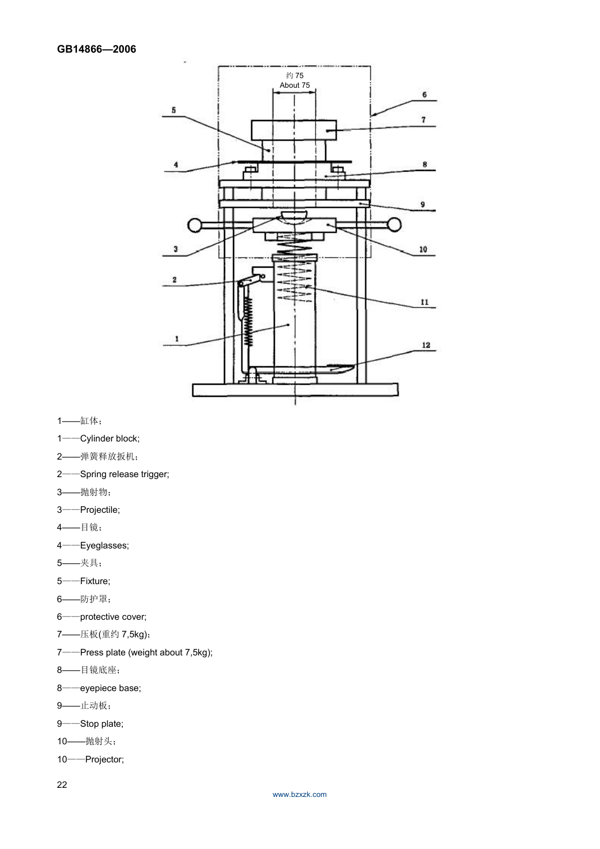![](_page_25_Figure_1.jpeg)

- 1——缸体;
- 1——Cylinder block;
- 2——弹簧释放扳机;
- 2——Spring release trigger;
- 3——抛射物;
- 3——Projectile;
- 4——目镜;
- 4——Eyeglasses;
- 5——夹具;
- 5——Fixture;
- 6——防护罩;
- 6——protective cover;
- 7——压板(重约 7,5kg);
- 7--- Press plate (weight about 7,5kg);
- 8——目镜底座;
- 8——eyepiece base;
- 9——止动板;
- 9——Stop plate;
- 10——抛射头;
- 10——Projector;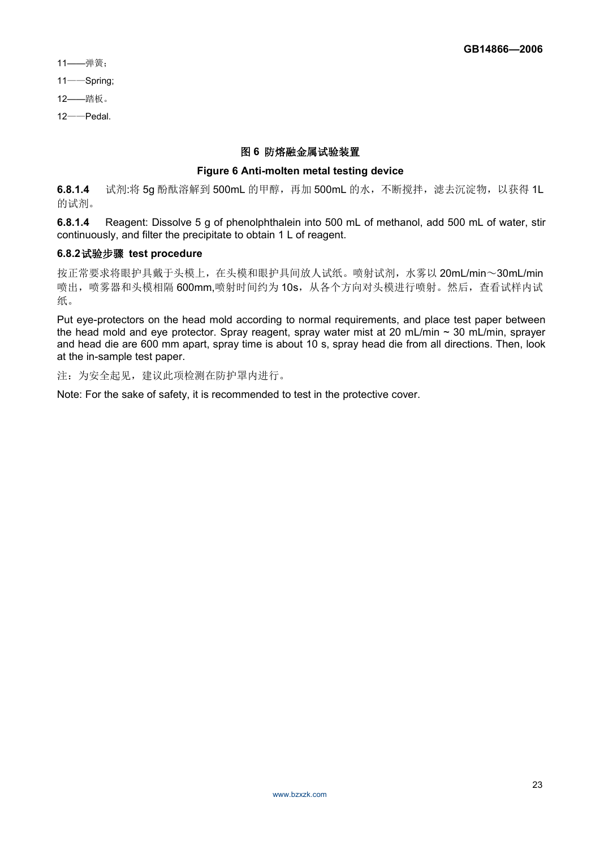11——弹簧;

11——Spring;

12——踏板。

12——Pedal.

### 图 **6** 防熔融金属试验装置

#### **Figure 6 Anti-molten metal testing device**

**6.8.1.4** 试剂:将 5g 酚酞溶解到 500mL 的甲醇,再加 500mL 的水,不断搅拌,滤去沉淀物,以获得 1L 的试剂。

**6.8.1.4** Reagent: Dissolve 5 g of phenolphthalein into 500 mL of methanol, add 500 mL of water, stir continuously, and filter the precipitate to obtain 1 L of reagent.

#### **6.8.2**试验步骤 **test procedure**

按正常要求将眼护具戴于头模上,在头模和眼护具间放人试纸。喷射试剂,水雾以 20mL/min~30mL/min 喷出,喷雾器和头模相隔 600mm,喷射时间约为 10s, 从各个方向对头模进行喷射。然后, 查看试样内试 纸。

Put eye-protectors on the head mold according to normal requirements, and place test paper between the head mold and eye protector. Spray reagent, spray water mist at 20 mL/min  $\sim$  30 mL/min, sprayer and head die are 600 mm apart, spray time is about 10 s, spray head die from all directions. Then, look at the in-sample test paper.

注:为安全起见,建议此项检测在防护罩内进行。

Note: For the sake of safety, it is recommended to test in the protective cover.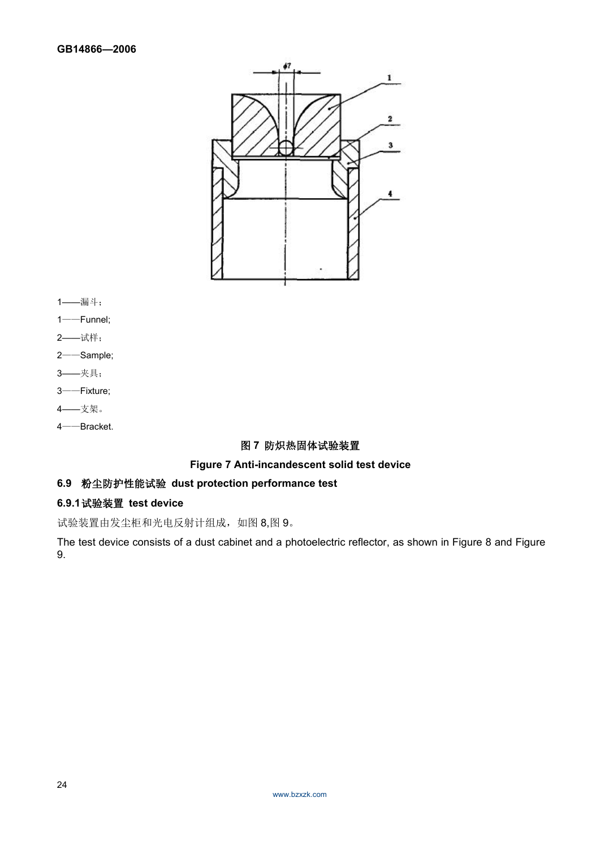![](_page_27_Figure_1.jpeg)

#### 1——漏斗;

- 1——Funnel;
- 2——试样;
- 2——Sample;
- 3*——*夹具;
- 3——Fixture;
- 4——支架。
- 4——Bracket.

### 图 **7** 防炽热固体试验装置

### **Figure 7 Anti-incandescent solid test device**

# **6.9** 粉尘防护性能试验 **dust protection performance test**

# **6.9.1**试验装置 **test device**

试验装置由发尘柜和光电反射计组成,如图 8,图 9。

The test device consists of a dust cabinet and a photoelectric reflector, as shown in Figure 8 and Figure 9.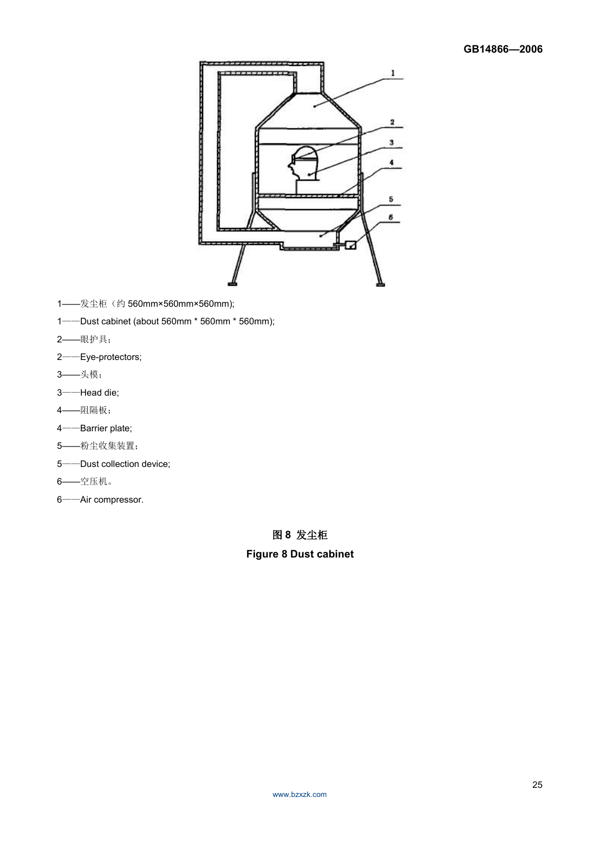![](_page_28_Figure_1.jpeg)

- 1——发尘柜(约 560mm×560mm×560mm);
- 1——Dust cabinet (about 560mm \* 560mm \* 560mm);
- 2——眼护具;
- 2——Eye-protectors;
- 3——头模;
- 3——Head die;
- 4——阻隔板;
- 4——Barrier plate;
- 5——粉尘收集装置;
- 5——Dust collection device;
- 6——空压机。
- 6——Air compressor.

# 图 **8** 发尘柜

### **Figure 8 Dust cabinet**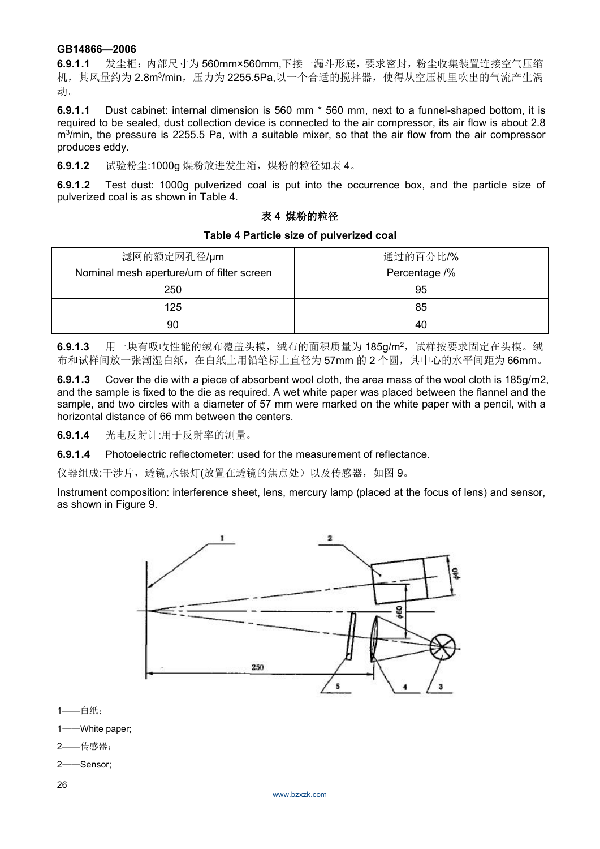**6.9.1.1** 发尘柜:内部尺寸为 560mm×560mm,下接一漏斗形底,要求密封,粉尘收集装置连接空气压缩 机,其风量约为 2.8m<sup>3</sup>/min,压力为 2255.5Pa,以一个合适的搅拌器,使得从空压机里吹出的气流产生涡 动。

**6.9.1.1** Dust cabinet: internal dimension is 560 mm \* 560 mm, next to a funnel-shaped bottom, it is required to be sealed, dust collection device is connected to the air compressor, its air flow is about 2.8 m<sup>3</sup>/min, the pressure is 2255.5 Pa, with a suitable mixer, so that the air flow from the air compressor produces eddy.

**6.9.1.2** 试验粉尘:1000g 煤粉放进发生箱,煤粉的粒径如表 4。

**6.9.1.2** Test dust: 1000g pulverized coal is put into the occurrence box, and the particle size of pulverized coal is as shown in Table 4.

### 表 **4** 煤粉的粒径

#### **Table 4 Particle size of pulverized coal**

| 滤网的额定网孔径/µm                               | 通过的百分比/%      |
|-------------------------------------------|---------------|
| Nominal mesh aperture/um of filter screen | Percentage /% |
| 250                                       | 95            |
| 125                                       | 85            |
| 90                                        | 40            |

**6.9.1.3** 用一块有吸收性能的绒布覆盖头模,绒布的面积质量为 185g/m<sup>2</sup>,试样按要求固定在头模。绒 布和试样间放一张潮湿白纸,在白纸上用铅笔标上直径为 57mm 的 2 个圆, 其中心的水平间距为 66mm。

**6.9.1.3** Cover the die with a piece of absorbent wool cloth, the area mass of the wool cloth is 185g/m2, and the sample is fixed to the die as required. A wet white paper was placed between the flannel and the sample, and two circles with a diameter of 57 mm were marked on the white paper with a pencil, with a horizontal distance of 66 mm between the centers.

**6.9.1.4** 光电反射计:用于反射率的测量。

**6.9.1.4** Photoelectric reflectometer: used for the measurement of reflectance.

仪器组成:干涉片,透镜,水银灯(放置在透镜的焦点处)以及传感器,如图 9。

Instrument composition: interference sheet, lens, mercury lamp (placed at the focus of lens) and sensor, as shown in Figure 9.

![](_page_29_Figure_14.jpeg)

1——白纸;

1——White paper;

- 2——传感器;
- 2——Sensor;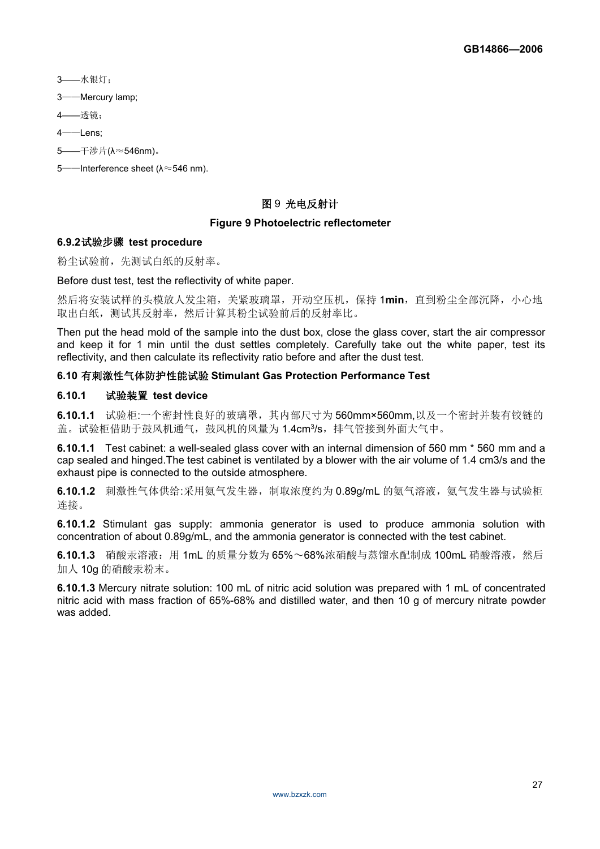3——水银灯;

3——Mercury lamp;

4——透镜;

 $4$ ——Lens;

5——干涉片(λ≈546nm)。

5——Interference sheet (λ≈546 nm).

### 图 9 光电反射计

#### **Figure 9 Photoelectric reflectometer**

#### **6.9.2**试验步骤 **test procedure**

粉尘试验前,先测试白纸的反射率。

#### Before dust test, test the reflectivity of white paper.

然后将安装试样的头模放人发尘箱,关紧玻璃罩,开动空压机,保持 1**min**,直到粉尘全部沉降,小心地 取出白纸, 测试其反射率, 然后计算其粉尘试验前后的反射率比。

Then put the head mold of the sample into the dust box, close the glass cover, start the air compressor and keep it for 1 min until the dust settles completely. Carefully take out the white paper, test its reflectivity, and then calculate its reflectivity ratio before and afterthe dust test.

#### **6.10** 有刺激性气体防护性能试验 **Stimulant Gas Protection Performance Test**

#### **6.10.1** 试验装置 **test device**

**6.10.1.1** 试验柜:一个密封性良好的玻璃罩,其内部尺寸为 560mm×560mm,以及一个密封并装有铰链的 盖。试验柜借助于鼓风机通气,鼓风机的风量为 1.4cm3/s,排气管接到外面大气中。

**6.10.1.1** Test cabinet: a well-sealed glass cover with an internal dimension of 560 mm \* 560 mm and a cap sealed and hinged.The test cabinet is ventilated by a blower with the air volume of 1.4 cm3/s and the exhaust pipe is connected to the outside atmosphere.

**6.10.1.2** 刺激性气体供给:采用氨气发生器,制取浓度约为 0.89g/mL 的氨气溶液,氨气发生器与试验柜 连接。

**6.10.1.2** Stimulant gas supply: ammonia generator is used to produce ammonia solution with concentration of about 0.89g/mL, and the ammonia generator is connected with the test cabinet.

6.10.1.3 硝酸汞溶液: 用 1mL 的质量分数为 65%~68%浓硝酸与蒸馏水配制成 100mL 硝酸溶液, 然后 加人 10g 的硝酸汞粉末。

**6.10.1.3** Mercury nitrate solution: 100 mL of nitric acid solution was prepared with 1 mL of concentrated nitric acid with mass fraction of 65%-68% and distilled water, and then 10 g of mercury nitrate powder was added.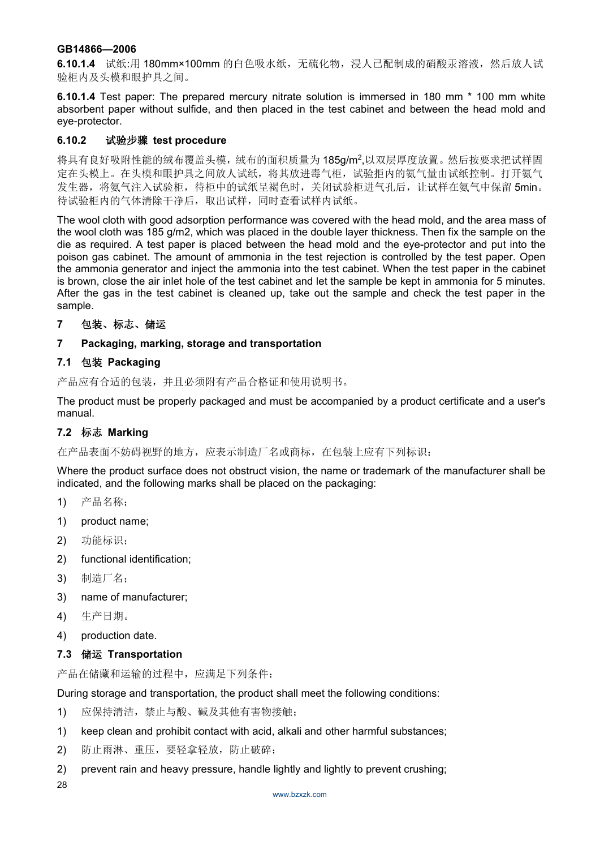6.10.1.4 试纸:用 180mm×100mm 的白色吸水纸,无硫化物,浸人已配制成的硝酸汞溶液,然后放人试 验柜内及头模和眼护具之间。

**6.10.1.4** Test paper: The prepared mercury nitrate solution is immersed in 180 mm \* 100 mm white absorbent paper without sulfide, and then placed in the test cabinet and between the head mold and eye-protector.

#### **6.10.2** 试验步骤 **test procedure**

将具有良好吸附性能的绒布覆盖头模,绒布的面积质量为 185g/m<sup>2</sup>,以双层厚度放置。然后按要求把试样固 定在头模上。在头模和眼护具之间放人试纸,将其放进毒气柜,试验拒内的氨气量由试纸控制。打开氨气 发生器,将氨气注入试验柜,待柜中的试纸呈褐色时,关闭试验柜进气孔后,让试样在氨气中保留 5min。 待试验柜内的气体清除干净后,取出试样,同时查看试样内试纸。

The wool cloth with good adsorption performance was covered with the head mold, and the area mass of the wool cloth was 185 g/m2, which was placed in the double layer thickness. Then fix the sample on the die as required. A test paper is placed between the head mold and the eye-protector and put into the poison gas cabinet. The amount of ammonia in the test rejection is controlled by the test paper. Open the ammonia generator and inject the ammonia into the test cabinet. When the test paper in the cabinet is brown, close the air inlet hole of the test cabinet and let the sample be kept in ammonia for 5 minutes. After the gas in the test cabinet is cleaned up, take out the sample and check the test paper in the sample.

#### **7** 包装、标志、储运

#### **7 Packaging, marking, storage and transportation**

#### **7.1** 包装 **Packaging**

产品应有合适的包装,并且必须附有产品合格证和使用说明书。

The product must be properly packaged and must be accompanied by a product certificate and a user's manual.

#### **7.2** 标志 **Marking**

在产品表面不妨碍视野的地方,应表示制造厂名或商标,在包装上应有下列标识:

Where the product surface does not obstruct vision, the name or trademark of the manufacturer shall be indicated, and the following marks shall be placed on the packaging:

- 1) 产品名称;
- 1) product name;
- 2) 功能标识;
- 2) functional identification;
- 3) 制造厂名;
- 3) name of manufacturer;
- 4) 生产日期。
- 4) production date.

#### **7.3** 储运 **Transportation**

产品在储藏和运输的过程中,应满足下列条件:

During storage and transportation, the product shall meet the following conditions:

- 1) 应保持清洁,禁止与酸、碱及其他有害物接触;
- 1) keep clean and prohibit contact with acid, alkali and other harmful substances;
- 2) 防止雨淋、重压,要轻拿轻放,防止破碎;
- 2) prevent rain and heavy pressure, handle lightly and lightly to prevent crushing;
- 28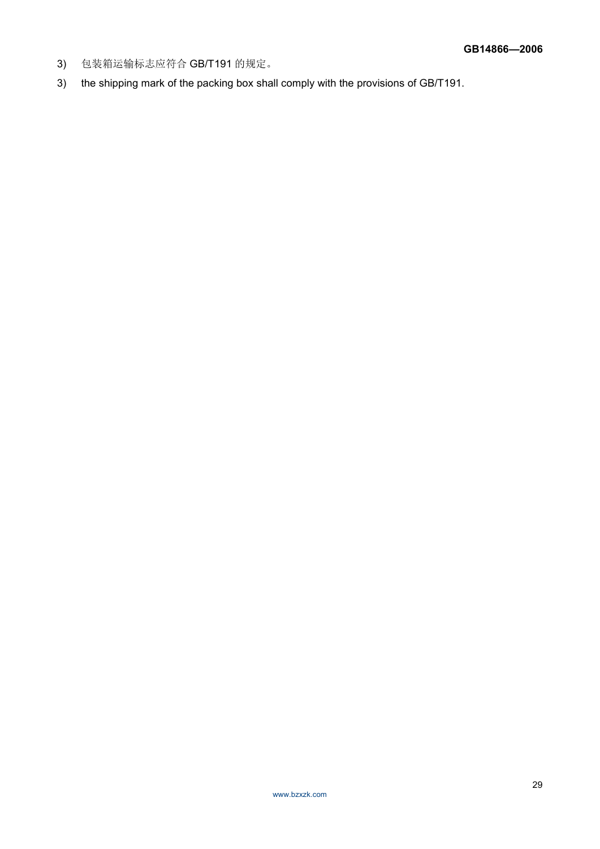- 3) 包装箱运输标志应符合 GB/T191 的规定。
- 3) the shipping mark of the packing box shall comply with the provisions of GB/T191.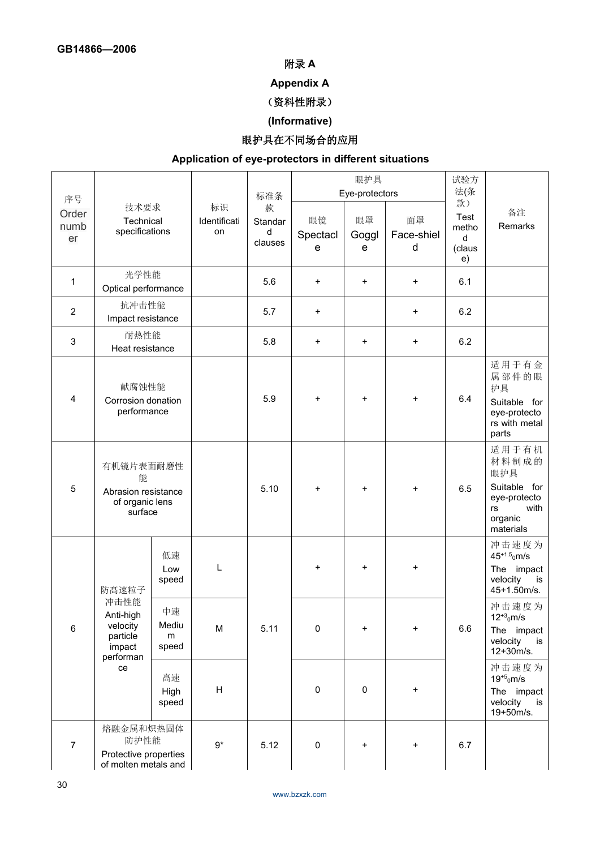# 附录 **A**

# **Appendix A**

# (资料性附录)

# **(Informative)**

# 眼护具在不同场合的应用

# **Application of eye-protectors in different situations**

| 序号                  |                                                                     |                           |                          | 标准条                          | 眼护具<br>Eye-protectors            |                  |                       | 试验方<br>法(条                               |                                                                                             |
|---------------------|---------------------------------------------------------------------|---------------------------|--------------------------|------------------------------|----------------------------------|------------------|-----------------------|------------------------------------------|---------------------------------------------------------------------------------------------|
| Order<br>numb<br>er | 技术要求<br>Technical<br>specifications                                 |                           | 标识<br>Identificati<br>on | 款<br>Standar<br>d<br>clauses | 眼镜<br>Spectacl<br>e              | 眼罩<br>Goggl<br>e | 面罩<br>Face-shiel<br>d | 款)<br>Test<br>metho<br>d<br>(claus<br>e) | 备注<br>Remarks                                                                               |
| $\mathbf{1}$        | 光学性能<br>Optical performance                                         |                           |                          | 5.6                          | $\ddot{}$                        | $\ddot{}$        | $+$                   | 6.1                                      |                                                                                             |
| $\mathbf{2}$        | 抗冲击性能<br>Impact resistance                                          |                           |                          | 5.7                          | $\ddot{}$                        |                  | $\ddot{}$             | 6.2                                      |                                                                                             |
| $\mathsf 3$         | 耐热性能<br>Heat resistance                                             |                           |                          | 5.8                          | $\ddot{}$                        | $\ddot{}$        | $+$                   | 6.2                                      |                                                                                             |
| 4                   | 献腐蚀性能<br>Corrosion donation<br>performance                          |                           |                          | 5.9                          | $\ddot{}$                        | $\ddot{}$        | $\ddot{}$             | 6.4                                      | 适用于有金<br>属部件的眼<br>护具<br>Suitable for<br>eye-protecto<br>rs with metal<br>parts              |
| 5                   | 有机镜片表面耐磨性<br>能<br>Abrasion resistance<br>of organic lens<br>surface |                           |                          | 5.10                         | $\ddot{}$                        | $\ddot{}$        | $\ddot{}$             | 6.5                                      | 适用于有机<br>材料制成的<br>眼护具<br>Suitable for<br>eye-protecto<br>with<br>rs<br>organic<br>materials |
|                     | 防髙速粒子                                                               | 低速<br>Low<br>speed        | L                        |                              | $\begin{array}{c} + \end{array}$ | $\ddot{}$        | $\ddot{}$             |                                          | 冲击速度为<br>$45^{+1.5}$ <sub>0</sub> m/s<br>The impact<br>velocity<br>is<br>$45+1.50m/s.$      |
| 6                   | 冲击性能<br>Anti-high<br>velocity<br>particle<br>impact<br>performan    | 中速<br>Mediu<br>m<br>speed | M                        | 5.11                         | 0                                | $+$              | $\ddot{}$             | 6.6                                      | 冲击速度为<br>$12^{+3}$ <sub>0</sub> m/s<br>The impact<br>velocity is<br>12+30m/s.               |
| ce                  |                                                                     | 高速<br>High<br>speed       | H                        |                              | 0                                | $\pmb{0}$        | $\ddot{}$             |                                          | 冲击速度为<br>$19^{+5}$ <sub>0</sub> m/s<br>The impact<br>velocity<br>is<br>19+50m/s.            |
| $\overline{7}$      | 熔融金属和炽热固体<br>防护性能<br>Protective properties<br>of molten metals and  |                           | $9*$                     | 5.12                         | $\pmb{0}$                        | $\ddot{}$        | $+$                   | 6.7                                      |                                                                                             |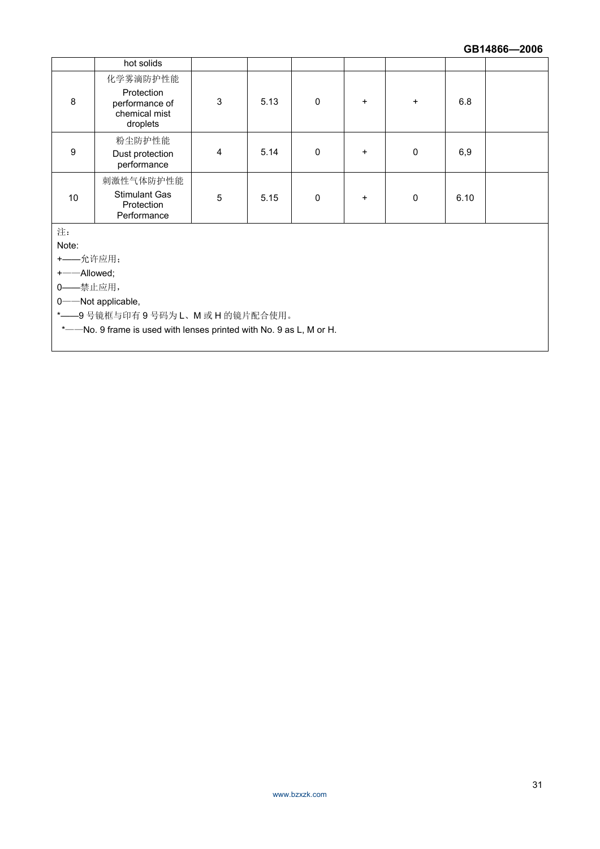|    | hot solids                                                            |   |      |             |           |             |      |  |
|----|-----------------------------------------------------------------------|---|------|-------------|-----------|-------------|------|--|
| 8  | 化学雾滴防护性能<br>Protection<br>performance of<br>chemical mist<br>droplets | 3 | 5.13 | $\mathbf 0$ | $\ddot{}$ | $\ddot{}$   | 6.8  |  |
| 9  | 粉尘防护性能<br>Dust protection<br>performance                              | 4 | 5.14 | $\mathbf 0$ | $\ddot{}$ | 0           | 6,9  |  |
| 10 | 刺激性气体防护性能<br><b>Stimulant Gas</b><br>Protection<br>Performance        | 5 | 5.15 | $\mathbf 0$ | $\ddot{}$ | $\mathbf 0$ | 6.10 |  |
| 注: |                                                                       |   |      |             |           |             |      |  |

Note:

+——允许应用;

+——Allowed;

0——禁止应用,

0——Not applicable,

\*——9 号镜框与印有 9 号码为 L、M 或 H 的镜片配合使用。

\*——No. 9 frame is used with lenses printed with No. 9 as L, M or H.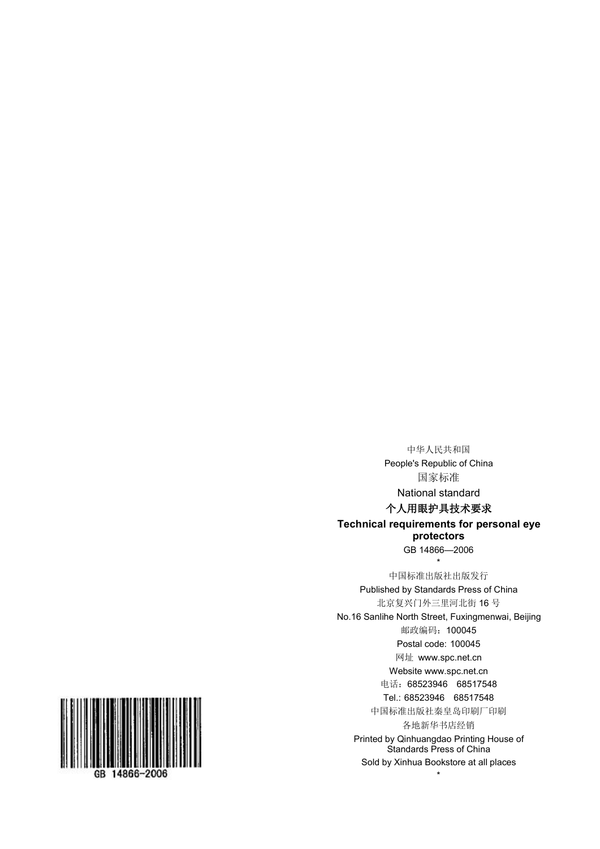中华人民共和国 People's Republic of China 国家标准 National standard 个人用眼护具技术要求 **Technical requirements for personal eye protectors**

GB 14866—2006

\* 中国标准出版社出版发行 Published by Standards Press of China 北京复兴门外三里河北街 16 号 No.16 Sanlihe North Street, Fuxingmenwai, Beijing 邮政编码:100045 Postal code: 100045 网址 www.spc.net.cn Website www.spc.net.cn 电话:68523946 68517548 Tel.: 68523946 68517548 中国标准出版社秦皇岛印刷厂印刷 各地新华书店经销 Printed by Qinhuangdao Printing House of Standards Press of China Sold by Xinhua Bookstore at all places

\*

![](_page_35_Picture_3.jpeg)